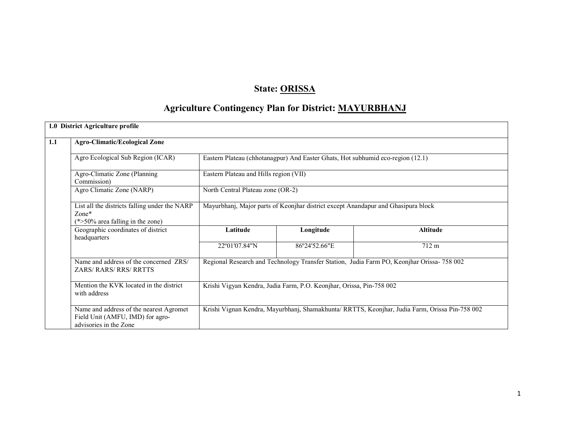# State: ORISSA

# Agriculture Contingency Plan for District: MAYURBHANJ

|     | 1.0 District Agriculture profile                                                                      |                                                                                                |                                        |                                                                                            |  |  |  |  |
|-----|-------------------------------------------------------------------------------------------------------|------------------------------------------------------------------------------------------------|----------------------------------------|--------------------------------------------------------------------------------------------|--|--|--|--|
| 1.1 | <b>Agro-Climatic/Ecological Zone</b>                                                                  |                                                                                                |                                        |                                                                                            |  |  |  |  |
|     | Agro Ecological Sub Region (ICAR)                                                                     | Eastern Plateau (chhotanagpur) And Easter Ghats, Hot subhumid eco-region (12.1)                |                                        |                                                                                            |  |  |  |  |
|     | Agro-Climatic Zone (Planning<br>Commission)                                                           |                                                                                                | Eastern Plateau and Hills region (VII) |                                                                                            |  |  |  |  |
|     | Agro Climatic Zone (NARP)                                                                             | North Central Plateau zone (OR-2)                                                              |                                        |                                                                                            |  |  |  |  |
|     | List all the districts falling under the NARP<br>$Zone*$<br>$(*>50\%$ area falling in the zone)       |                                                                                                |                                        | Mayurbhanj, Major parts of Keonjhar district except Anandapur and Ghasipura block          |  |  |  |  |
|     | Geographic coordinates of district<br>headquarters                                                    | Latitude                                                                                       | Longitude                              | <b>Altitude</b>                                                                            |  |  |  |  |
|     |                                                                                                       | 22°01'07.84"N                                                                                  | 86°24'52.66"E                          | 712 m                                                                                      |  |  |  |  |
|     | Name and address of the concerned ZRS/<br><b>ZARS/RARS/RRS/RRTTS</b>                                  |                                                                                                |                                        | Regional Research and Technology Transfer Station, Judia Farm PO, Keonjhar Orissa- 758 002 |  |  |  |  |
|     | Mention the KVK located in the district<br>with address                                               | Krishi Vigyan Kendra, Judia Farm, P.O. Keonjhar, Orissa, Pin-758 002                           |                                        |                                                                                            |  |  |  |  |
|     | Name and address of the nearest Agromet<br>Field Unit (AMFU, IMD) for agro-<br>advisories in the Zone | Krishi Vignan Kendra, Mayurbhanj, Shamakhunta/ RRTTS, Keonjhar, Judia Farm, Orissa Pin-758 002 |                                        |                                                                                            |  |  |  |  |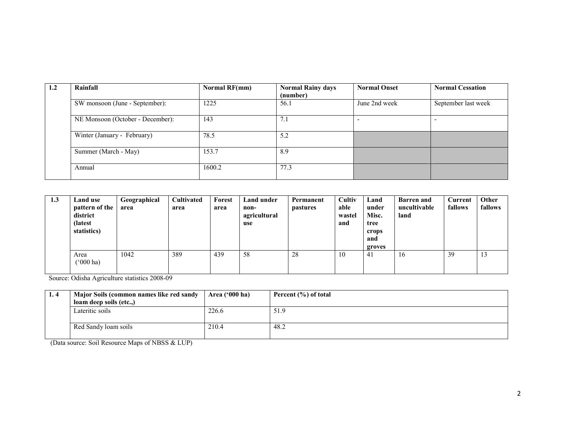| 1.2 | Rainfall                         | Normal RF(mm) | <b>Normal Rainy days</b><br>(number) | <b>Normal Onset</b> | <b>Normal Cessation</b> |
|-----|----------------------------------|---------------|--------------------------------------|---------------------|-------------------------|
|     | SW monsoon (June - September):   | 1225          | 56.1                                 | June 2nd week       | September last week     |
|     | NE Monsoon (October - December): | 143           | 7.1                                  |                     |                         |
|     | Winter (January - February)      | 78.5          | 5.2                                  |                     |                         |
|     | Summer (March - May)             | 153.7         | 8.9                                  |                     |                         |
|     | Annual                           | 1600.2        | 77.3                                 |                     |                         |

| 1.3 | <b>Land use</b><br>pattern of the<br>district<br>(latest)<br>statistics) | Geographical<br>area | <b>Cultivated</b><br>area | Forest<br>area | Land under<br>non-<br>agricultural<br>use | Permanent<br><i>pastures</i> | Cultiv<br>able<br>wastel<br>and | Land<br>under<br>Misc.<br>tree<br>crops<br>and<br>groves | <b>Barren</b> and<br>uncultivable<br>land | <b>Current</b><br>fallows | Other<br>fallows |
|-----|--------------------------------------------------------------------------|----------------------|---------------------------|----------------|-------------------------------------------|------------------------------|---------------------------------|----------------------------------------------------------|-------------------------------------------|---------------------------|------------------|
|     | Area<br>$^{\circ}000$ ha)                                                | 1042                 | 389                       | 439            | 58                                        | 28                           | 10                              | 41                                                       | 16                                        | 39                        |                  |

Source: Odisha Agriculture statistics 2008-09

| 1.4 | Major Soils (common names like red sandy | Area $(900 \text{ ha})$ | Percent $(\% )$ of total |
|-----|------------------------------------------|-------------------------|--------------------------|
|     | loam deep soils (etc)                    |                         |                          |
|     | Lateritic soils                          | 226.6                   | 51.9                     |
|     | Red Sandy loam soils                     | 210.4                   | 48.2                     |

(Data source: Soil Resource Maps of NBSS & LUP)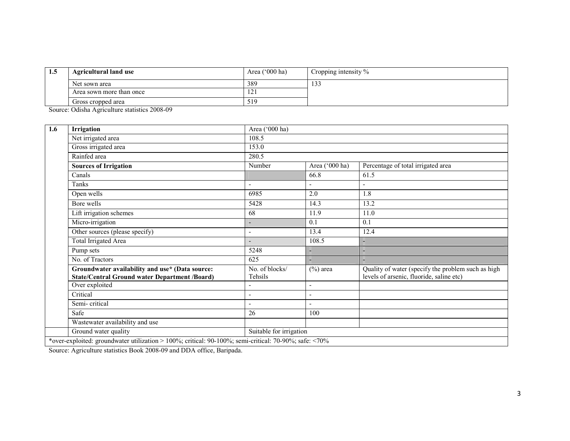| <b>1.5</b> | <b>Agricultural land use</b> | Area $('000 ha)$ | Cropping intensity % |
|------------|------------------------------|------------------|----------------------|
|            | Net sown area                | 389              | 122<br>133           |
|            | Area sown more than once     | 1/1              |                      |
|            | Gross cropped area           | 519              |                      |

Source: Odisha Agriculture statistics 2008-09

| 1.6 | Irrigation                                                                                              | Area ('000 ha)            |                          |                                                                                                |
|-----|---------------------------------------------------------------------------------------------------------|---------------------------|--------------------------|------------------------------------------------------------------------------------------------|
|     | Net irrigated area                                                                                      | 108.5                     |                          |                                                                                                |
|     | Gross irrigated area                                                                                    | 153.0                     |                          |                                                                                                |
|     | Rainfed area                                                                                            | 280.5                     |                          |                                                                                                |
|     | <b>Sources of Irrigation</b>                                                                            | Number                    | Area ('000 ha)           | Percentage of total irrigated area                                                             |
|     | Canals                                                                                                  |                           | 66.8                     | 61.5                                                                                           |
|     | Tanks                                                                                                   | $\overline{\phantom{a}}$  |                          | $\overline{\phantom{0}}$                                                                       |
|     | Open wells                                                                                              | 6985                      | 2.0                      | 1.8                                                                                            |
|     | Bore wells                                                                                              | 5428                      | 14.3                     | 13.2                                                                                           |
|     | Lift irrigation schemes                                                                                 | 68                        | 11.9                     | 11.0                                                                                           |
|     | Micro-irrigation                                                                                        | $\overline{\phantom{a}}$  | 0.1                      | 0.1                                                                                            |
|     | Other sources (please specify)                                                                          | $\overline{\phantom{0}}$  | 13.4                     | 12.4                                                                                           |
|     | Total Irrigated Area                                                                                    |                           | 108.5                    |                                                                                                |
|     | Pump sets                                                                                               | 5248                      |                          |                                                                                                |
|     | No. of Tractors                                                                                         | 625                       |                          |                                                                                                |
|     | Groundwater availability and use* (Data source:<br><b>State/Central Ground water Department /Board)</b> | No. of blocks/<br>Tehsils | $(\%)$ area              | Quality of water (specify the problem such as high<br>levels of arsenic, fluoride, saline etc) |
|     | Over exploited                                                                                          |                           | $\overline{\phantom{a}}$ |                                                                                                |
|     | Critical                                                                                                |                           |                          |                                                                                                |
|     | Semi-critical                                                                                           |                           |                          |                                                                                                |
|     | Safe                                                                                                    | 26                        | 100                      |                                                                                                |
|     | Wastewater availability and use                                                                         |                           |                          |                                                                                                |
|     | Ground water quality                                                                                    | Suitable for irrigation   |                          |                                                                                                |
|     | *over-exploited: groundwater utilization > 100%; critical: 90-100%; semi-critical: 70-90%; safe: <70%   |                           |                          |                                                                                                |

Source: Agriculture statistics Book 2008-09 and DDA office, Baripada.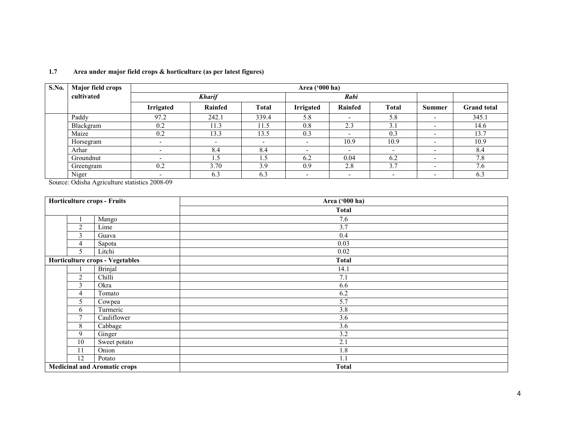| <b>S.No.</b> | Major field crops |                          | Area $('000 ha)$         |                          |                          |                          |                          |                |                    |  |
|--------------|-------------------|--------------------------|--------------------------|--------------------------|--------------------------|--------------------------|--------------------------|----------------|--------------------|--|
|              | cultivated        |                          | <b>Kharif</b>            |                          |                          | Rabi                     |                          |                |                    |  |
|              |                   | Irrigated                | Rainfed                  | Total                    | <b>Irrigated</b>         | Rainfed                  | <b>Total</b>             | Summer         | <b>Grand</b> total |  |
|              | Paddy             | 97.2                     | 242.1                    | 339.4                    | 5.8                      | $\overline{\phantom{a}}$ | 5.8                      |                | 345.1              |  |
|              | Blackgram         | 0.2                      | 11.3                     | 11.5                     | 0.8                      | 2.3                      | 3.1                      | $\blacksquare$ | 14.6               |  |
|              | Maize             | 0.2                      | 13.3                     | 13.5                     | 0.3                      | $\overline{\phantom{0}}$ | 0.3                      | -              | 13.7               |  |
|              | Horsegram         | $\overline{\phantom{a}}$ | $\overline{\phantom{0}}$ | $\overline{\phantom{a}}$ | $\overline{\phantom{0}}$ | 10.9                     | 10.9                     | $\blacksquare$ | 10.9               |  |
|              | Arhar             | $\overline{\phantom{0}}$ | 8.4                      | 8.4                      | $\overline{\phantom{0}}$ | $\overline{\phantom{a}}$ | $\overline{\phantom{a}}$ |                | 8.4                |  |
|              | Groundnut         |                          | 1.5                      | 1.5                      | 6.2                      | 0.04                     | 6.2                      |                | 7.8                |  |
|              | Greengram         | 0.2                      | 3.70                     | 3.9                      | 0.9                      | 2.8                      | 3.7                      | -              | 7.6                |  |
|              | Niger<br>.        |                          | 6.3                      | 6.3                      | $\overline{\phantom{0}}$ | $\overline{\phantom{a}}$ | $\overline{\phantom{0}}$ |                | 6.3                |  |

#### 1.7 Area under major field crops & horticulture (as per latest figures)

Source: Odisha Agriculture statistics 2008-09

|        | <b>Horticulture crops - Fruits</b>  | Area ('000 ha) |
|--------|-------------------------------------|----------------|
|        |                                     | <b>Total</b>   |
|        | Mango                               | 7.6            |
| 2      | Lime                                | 3.7            |
| 3      | Guava                               | 0.4            |
| 4      | Sapota                              | 0.03           |
| 5      | Litchi                              | $0.02\,$       |
|        | Horticulture crops - Vegetables     | <b>Total</b>   |
|        | <b>Brinjal</b>                      | 14.1           |
| 2      | Chilli                              | 7.1            |
| 3      | Okra                                | 6.6            |
| 4      | Tomato                              | 6.2            |
| 5      | Cowpea                              | 5.7            |
| 6      | Turmeric                            | 3.8            |
| $\tau$ | Cauliflower                         | 3.6            |
| 8      | Cabbage                             | 3.6            |
| 9      | Ginger                              | 3.2            |
| 10     | Sweet potato                        | 2.1            |
| 11     | Onion                               | 1.8            |
| 12     | Potato                              | 1.1            |
|        | <b>Medicinal and Aromatic crops</b> | <b>Total</b>   |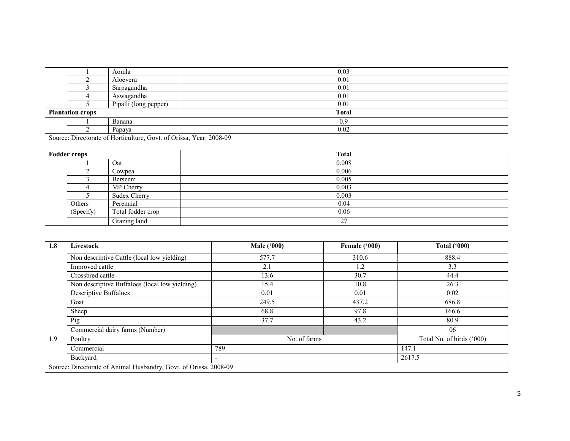|                         | Aomla                 | 0.03         |
|-------------------------|-----------------------|--------------|
|                         | Aloevera              | 0.01         |
|                         | Sarpagandha           | 0.01         |
|                         | Aswagandha            | 0.01         |
|                         | Pipalli (long pepper) | 0.01         |
| <b>Plantation crops</b> |                       | <b>Total</b> |
|                         | Banana                | 0.9          |
|                         | Papaya                | 0.02         |

Source: Directorate of Horticulture, Govt. of Orissa, Year: 2008-09

| <b>Fodder crops</b> |                     | <b>Total</b> |
|---------------------|---------------------|--------------|
|                     | Oat                 | 0.008        |
|                     | Cowpea              | 0.006        |
|                     | Berseem             | 0.005        |
|                     | MP Cherry           | 0.003        |
|                     | <b>Sudex Cherry</b> | 0.003        |
| Others              | Perennial           | 0.04         |
| (Specify)           | Total fodder crop   | 0.06         |
|                     | Grazing land        | 27           |

| 1.8 | Livestock                                                         | <b>Male ('000)</b>       | Female ('000) | Total $(900)$             |
|-----|-------------------------------------------------------------------|--------------------------|---------------|---------------------------|
|     | Non descriptive Cattle (local low yielding)                       | 577.7                    | 310.6         | 888.4                     |
|     | Improved cattle                                                   | 2.1                      | 1.2           | 3.3                       |
|     | Crossbred cattle                                                  | 13.6                     | 30.7          | 44.4                      |
|     | Non descriptive Buffaloes (local low yielding)                    | 15.4                     | 10.8          | 26.3                      |
|     | <b>Descriptive Buffaloes</b>                                      | 0.01                     | 0.01          | 0.02                      |
|     | Goat                                                              | 249.5                    | 437.2         | 686.8                     |
|     | Sheep                                                             | 68.8                     | 97.8          | 166.6<br>80.9             |
|     | Pig                                                               | 37.7                     | 43.2          |                           |
|     | Commercial dairy farms (Number)                                   |                          |               | 06                        |
| 1.9 | Poultry                                                           | No. of farms             |               | Total No. of birds ('000) |
|     | Commercial                                                        | 789                      |               | 147.1                     |
|     | Backyard                                                          | $\overline{\phantom{a}}$ | 2617.5        |                           |
|     | Source: Directorate of Animal Husbandry, Govt. of Orissa, 2008-09 |                          |               |                           |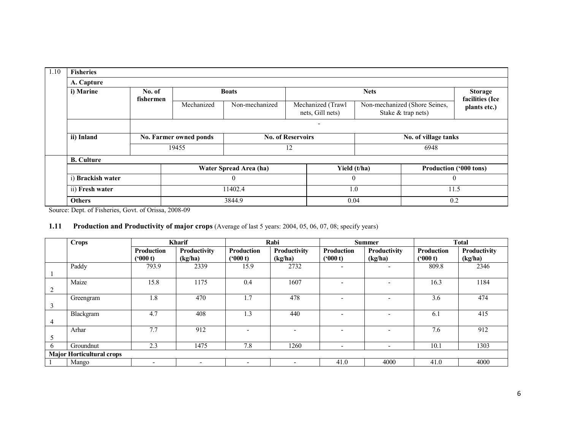| 1.10 | <b>Fisheries</b>  |           |                        |                        |                          |                                       |             |                                                     |                                 |
|------|-------------------|-----------|------------------------|------------------------|--------------------------|---------------------------------------|-------------|-----------------------------------------------------|---------------------------------|
|      | A. Capture        |           |                        |                        |                          |                                       |             |                                                     |                                 |
|      | i) Marine         | No. of    |                        | <b>Boats</b>           |                          |                                       | <b>Nets</b> |                                                     |                                 |
|      |                   | fishermen | Mechanized             | Non-mechanized         |                          | Mechanized (Trawl<br>nets, Gill nets) |             | Non-mechanized (Shore Seines,<br>Stake & trap nets) | facilities (Ice<br>plants etc.) |
|      |                   |           |                        |                        |                          | $\overline{\phantom{0}}$              |             |                                                     |                                 |
|      | ii) Inland        |           | No. Farmer owned ponds |                        | <b>No. of Reservoirs</b> |                                       |             | No. of village tanks                                |                                 |
|      |                   |           | 19455                  |                        | 12                       |                                       |             | 6948                                                |                                 |
|      | <b>B.</b> Culture |           |                        |                        |                          |                                       |             |                                                     |                                 |
|      |                   |           |                        | Water Spread Area (ha) |                          | Yield (t/ha)                          |             | Production ('000 tons)                              |                                 |
|      | i) Brackish water |           |                        | $\mathbf{0}$           |                          | $\Omega$                              |             | $\mathbf{0}$                                        |                                 |
|      | ii) Fresh water   |           |                        | 11402.4                |                          | 1.0                                   |             | 11.5                                                |                                 |
|      | <b>Others</b>     |           |                        | 3844.9                 |                          | 0.04                                  |             | 0.2                                                 |                                 |

Source: Dept. of Fisheries, Govt. of Orissa, 2008-09

#### **1.11** Production and Productivity of major crops (Average of last 5 years: 2004, 05, 06, 07, 08; specify years)

|                | <b>Crops</b>                     |                              | <b>Kharif</b>                  |                          | Rabi                     |                          | <b>Summer</b>            |                       | <b>Total</b>            |
|----------------|----------------------------------|------------------------------|--------------------------------|--------------------------|--------------------------|--------------------------|--------------------------|-----------------------|-------------------------|
|                |                                  | <b>Production</b><br>(900 t) | <b>Productivity</b><br>(kg/ha) | Production<br>(900 t)    | Productivity<br>(kg/ha)  | Production<br>(900 t)    | Productivity<br>(kg/ha)  | Production<br>(900 t) | Productivity<br>(kg/ha) |
|                | Paddy                            | 793.9                        | 2339                           | 15.9                     | 2732                     | -                        |                          | 809.8                 | 2346                    |
| 2              | Maize                            | 15.8                         | 1175                           | 0.4                      | 1607                     | $\overline{\phantom{a}}$ |                          | 16.3                  | 1184                    |
| 3              | Greengram                        | 1.8                          | 470                            | 1.7                      | 478                      | $\overline{\phantom{a}}$ |                          | 3.6                   | 474                     |
| $\overline{4}$ | Blackgram                        | 4.7                          | 408                            | $\mathbf{.3}$            | 440                      | $\overline{\phantom{a}}$ |                          | 6.1                   | 415                     |
|                | Arhar                            | 7.7                          | 912                            | $\overline{\phantom{a}}$ | $\overline{\phantom{0}}$ | $\overline{\phantom{a}}$ |                          | 7.6                   | 912                     |
| <sub>b</sub>   | Groundnut                        | 2.3                          | 1475                           | 7.8                      | 1260                     | $\overline{\phantom{a}}$ | $\overline{\phantom{0}}$ | 10.1                  | 1303                    |
|                | <b>Major Horticultural crops</b> |                              |                                |                          |                          |                          |                          |                       |                         |
|                | Mango                            | $\overline{\phantom{0}}$     | $\overline{\phantom{0}}$       | $\overline{\phantom{0}}$ | $\overline{\phantom{0}}$ | 41.0                     | 4000                     | 41.0                  | 4000                    |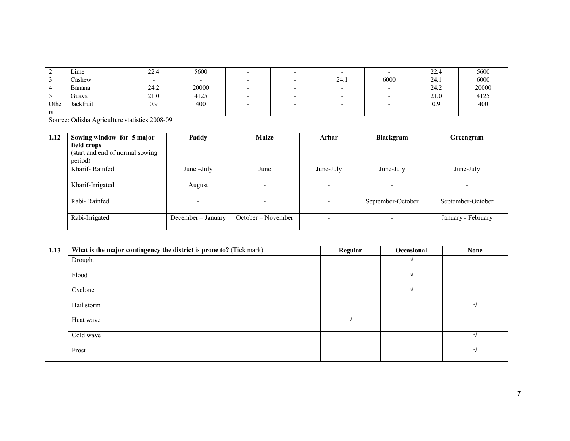|      | $L$ 1me   | $\sim$<br>44. | 5600   |  |      |      | 22.4 | 5600  |
|------|-----------|---------------|--------|--|------|------|------|-------|
|      | Cashew    |               | $\sim$ |  | 24.1 | 6000 | 24.1 | 6000  |
|      | Banana    | 24.2          | 20000  |  |      |      | 24.2 | 20000 |
|      | Guava     | 21.0          | 4125   |  |      |      | 21.0 | 4125  |
| Othe | Jackfruit | 0.9           | 400    |  |      |      | 0.9  | 400   |
| rs   |           |               |        |  |      |      |      |       |

Source: Odisha Agriculture statistics 2008-09

| 1.12 | Sowing window for 5 major       | Paddy              | <b>Maize</b>       | Arhar     | Blackgram                | Greengram          |
|------|---------------------------------|--------------------|--------------------|-----------|--------------------------|--------------------|
|      | field crops                     |                    |                    |           |                          |                    |
|      | (start and end of normal sowing |                    |                    |           |                          |                    |
|      | period)                         |                    |                    |           |                          |                    |
|      | Kharif-Rainfed                  | June $-July$       | June               | June-July | June-July                | June-July          |
|      |                                 |                    |                    |           |                          |                    |
|      | Kharif-Irrigated                | August             |                    |           |                          |                    |
|      |                                 |                    |                    |           |                          |                    |
|      | Rabi-Rainfed                    |                    | -                  |           | September-October        | September-October  |
|      |                                 |                    |                    |           |                          |                    |
|      | Rabi-Irrigated                  | December - January | October – November | ۰.        | $\overline{\phantom{a}}$ | January - February |
|      |                                 |                    |                    |           |                          |                    |

| 1.13 | What is the major contingency the district is prone to? (Tick mark) | Regular | Occasional | <b>None</b> |
|------|---------------------------------------------------------------------|---------|------------|-------------|
|      | Drought                                                             |         |            |             |
|      | Flood                                                               |         |            |             |
|      | Cyclone                                                             |         |            |             |
|      | Hail storm                                                          |         |            |             |
|      | Heat wave                                                           |         |            |             |
|      | Cold wave                                                           |         |            |             |
|      | Frost                                                               |         |            |             |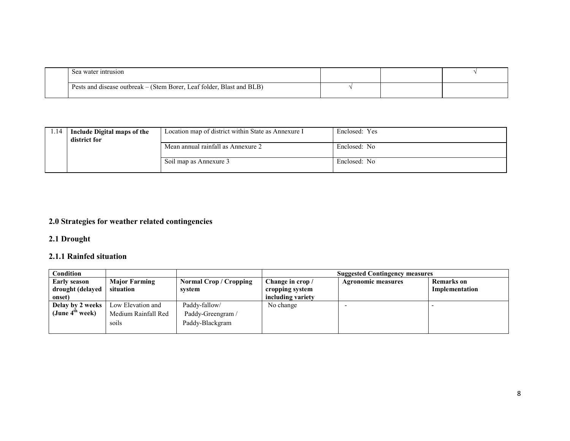| Sea water intrusion                                                   |  |  |
|-----------------------------------------------------------------------|--|--|
| Pests and disease outbreak – (Stem Borer, Leaf folder, Blast and BLB) |  |  |

| .14 | Include Digital maps of the<br>district for | Location map of district within State as Annexure I | Enclosed: Yes |
|-----|---------------------------------------------|-----------------------------------------------------|---------------|
|     |                                             | Mean annual rainfall as Annexure 2                  | Enclosed: No  |
|     |                                             | Soil map as Annexure 3                              | Enclosed: No  |

#### 2.0 Strategies for weather related contingencies

#### 2.1 Drought

### 2.1.1 Rainfed situation

| Condition                   |                      |                        |                   | <b>Suggested Contingency measures</b> |                   |
|-----------------------------|----------------------|------------------------|-------------------|---------------------------------------|-------------------|
| <b>Early season</b>         | <b>Major Farming</b> | Normal Crop / Cropping | Change in crop /  | <b>Agronomic measures</b>             | <b>Remarks</b> on |
| drought (delayed            | situation            | system                 | cropping system   |                                       | Implementation    |
| onset)                      |                      |                        | including variety |                                       |                   |
| Delay by 2 weeks            | Low Elevation and    | Paddy-fallow/          | No change         |                                       |                   |
| (June 4 <sup>th</sup> week) | Medium Rainfall Red  | Paddy-Greengram /      |                   |                                       |                   |
|                             | soils                | Paddy-Blackgram        |                   |                                       |                   |
|                             |                      |                        |                   |                                       |                   |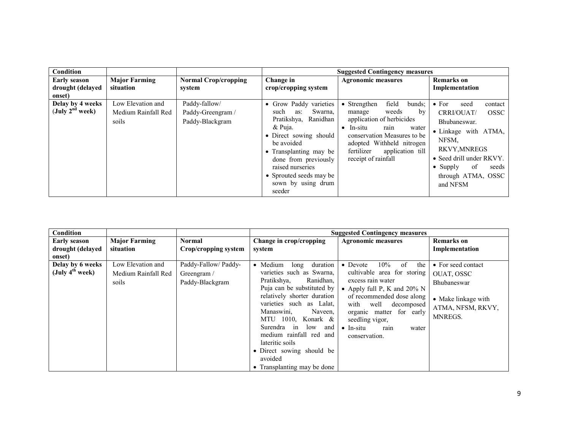| <b>Condition</b>                                  |                                                   |                                                       |                                                                                                                                                                                                                                                                            | <b>Suggested Contingency measures</b>                                                                                                                                                                                                                       |                                                                                                                                                                                                                                        |
|---------------------------------------------------|---------------------------------------------------|-------------------------------------------------------|----------------------------------------------------------------------------------------------------------------------------------------------------------------------------------------------------------------------------------------------------------------------------|-------------------------------------------------------------------------------------------------------------------------------------------------------------------------------------------------------------------------------------------------------------|----------------------------------------------------------------------------------------------------------------------------------------------------------------------------------------------------------------------------------------|
| <b>Early season</b><br>drought (delayed<br>onset) | <b>Major Farming</b><br>situation                 | <b>Normal Crop/cropping</b><br>system                 | Change in<br>crop/cropping system                                                                                                                                                                                                                                          | <b>Agronomic measures</b>                                                                                                                                                                                                                                   | <b>Remarks</b> on<br>Implementation                                                                                                                                                                                                    |
| Delay by 4 weeks<br>(July $2^{nd}$ week)          | Low Elevation and<br>Medium Rainfall Red<br>soils | Paddy-fallow/<br>Paddy-Greengram /<br>Paddy-Blackgram | • Grow Paddy varieties<br>Swarna.<br>such<br>as:<br>Pratikshya,<br>Ranidhan<br>& Puja.<br>• Direct sowing should<br>be avoided<br>Transplanting may be<br>$\bullet$<br>done from previously<br>raised nurseries<br>• Sprouted seeds may be<br>sown by using drum<br>seeder | field<br>$\bullet$ Strengthen<br>bunds:<br>weeds<br>bv<br>manage<br>application of herbicides<br>In-situ<br>rain<br>water<br>$\bullet$<br>conservation Measures to be<br>adopted Withheld nitrogen<br>fertilizer<br>application till<br>receipt of rainfall | $\bullet$ For<br>seed<br>contact<br><b>OSSC</b><br>CRRI/OUAT/<br>Bhubaneswar.<br>• Linkage with ATMA,<br>NFSM.<br><b>RKVY, MNREGS</b><br>• Seed drill under RKVY.<br>of<br>$\bullet$ Supply<br>seeds<br>through ATMA, OSSC<br>and NFSM |

| Condition            |                      |                      |                                                                                                                                                                                                                                                                                              | <b>Suggested Contingency measures</b>                                                                                                                                                           |                                                     |
|----------------------|----------------------|----------------------|----------------------------------------------------------------------------------------------------------------------------------------------------------------------------------------------------------------------------------------------------------------------------------------------|-------------------------------------------------------------------------------------------------------------------------------------------------------------------------------------------------|-----------------------------------------------------|
| <b>Early season</b>  | <b>Major Farming</b> | <b>Normal</b>        | Change in crop/cropping                                                                                                                                                                                                                                                                      | <b>Agronomic measures</b>                                                                                                                                                                       | <b>Remarks</b> on                                   |
| drought (delayed     | situation            | Crop/cropping system | system                                                                                                                                                                                                                                                                                       |                                                                                                                                                                                                 | Implementation                                      |
| onset)               |                      |                      |                                                                                                                                                                                                                                                                                              |                                                                                                                                                                                                 |                                                     |
| Delay by 6 weeks     | Low Elevation and    | Paddy-Fallow/Paddy-  | Medium<br>duration<br>long<br>$\bullet$                                                                                                                                                                                                                                                      | 10%<br>of<br>the<br>$\bullet$ Devote                                                                                                                                                            | • For seed contact                                  |
| (July $4^{th}$ week) | Medium Rainfall Red  | Greengram /          | varieties such as Swarna,                                                                                                                                                                                                                                                                    | cultivable area for storing                                                                                                                                                                     | OUAT, OSSC                                          |
|                      | soils                | Paddy-Blackgram      | Pratikshya,<br>Ranidhan,                                                                                                                                                                                                                                                                     | excess rain water                                                                                                                                                                               | Bhubaneswar                                         |
|                      |                      |                      | Puja can be substituted by<br>relatively shorter duration<br>varieties such as Lalat,<br>Manaswini,<br>Naveen,<br>MTU 1010, Konark $\&$<br>Surendra<br>low<br>and<br>in<br>medium rainfall red and<br>lateritic soils<br>• Direct sowing should be<br>avoided<br>• Transplanting may be done | • Apply full P, K and $20\%$ N<br>of recommended dose along<br>with<br>well<br>decomposed<br>organic matter for early<br>seedling vigor,<br>$\bullet$ In-situ<br>water<br>rain<br>conservation. | • Make linkage with<br>ATMA, NFSM, RKVY,<br>MNREGS. |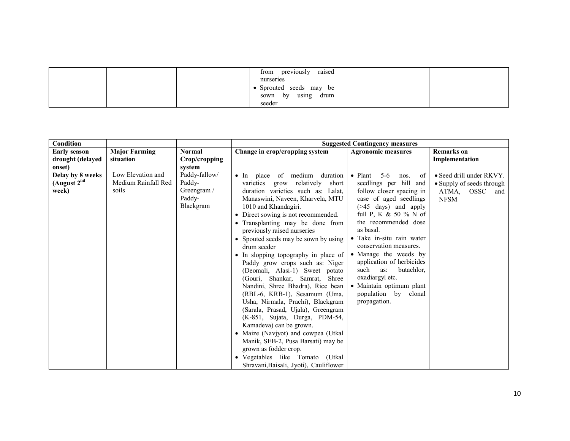|  | previously<br>raised<br>from |  |
|--|------------------------------|--|
|  | nurseries                    |  |
|  | Sprouted seeds may be        |  |
|  | using<br>sown by<br>drum     |  |
|  | seeder                       |  |

| Condition                                  |                                                   |                                                               |                                                                                                                                                                                                                                                                                                                                                                                                                                                                                                                                                                                                                                                                                                                                                                                                                                                                                                                          | <b>Suggested Contingency measures</b>                                                                                                                                                                                                                                                                                                                                                                                                               |                                                                                                   |
|--------------------------------------------|---------------------------------------------------|---------------------------------------------------------------|--------------------------------------------------------------------------------------------------------------------------------------------------------------------------------------------------------------------------------------------------------------------------------------------------------------------------------------------------------------------------------------------------------------------------------------------------------------------------------------------------------------------------------------------------------------------------------------------------------------------------------------------------------------------------------------------------------------------------------------------------------------------------------------------------------------------------------------------------------------------------------------------------------------------------|-----------------------------------------------------------------------------------------------------------------------------------------------------------------------------------------------------------------------------------------------------------------------------------------------------------------------------------------------------------------------------------------------------------------------------------------------------|---------------------------------------------------------------------------------------------------|
| <b>Early season</b>                        | <b>Major Farming</b>                              | <b>Normal</b>                                                 | Change in crop/cropping system                                                                                                                                                                                                                                                                                                                                                                                                                                                                                                                                                                                                                                                                                                                                                                                                                                                                                           | <b>Agronomic measures</b>                                                                                                                                                                                                                                                                                                                                                                                                                           | <b>Remarks</b> on                                                                                 |
| drought (delayed                           | situation                                         | Crop/cropping                                                 |                                                                                                                                                                                                                                                                                                                                                                                                                                                                                                                                                                                                                                                                                                                                                                                                                                                                                                                          |                                                                                                                                                                                                                                                                                                                                                                                                                                                     | Implementation                                                                                    |
| onset)                                     |                                                   | system                                                        |                                                                                                                                                                                                                                                                                                                                                                                                                                                                                                                                                                                                                                                                                                                                                                                                                                                                                                                          |                                                                                                                                                                                                                                                                                                                                                                                                                                                     |                                                                                                   |
| Delay by 8 weeks<br>(August $2nd$<br>week) | Low Elevation and<br>Medium Rainfall Red<br>soils | Paddy-fallow/<br>Paddy-<br>Greengram /<br>Paddy-<br>Blackgram | of medium<br>duration<br>$\bullet$ In place<br>varieties<br>relatively<br>short<br>grow<br>duration varieties such as: Lalat,<br>Manaswini, Naveen, Kharvela, MTU<br>1010 and Khandagiri.<br>• Direct sowing is not recommended.<br>• Transplanting may be done from<br>previously raised nurseries<br>• Spouted seeds may be sown by using<br>drum seeder<br>• In slopping topography in place of<br>Paddy grow crops such as: Niger<br>(Deomali, Alasi-1) Sweet potato<br>(Gouri, Shankar, Samrat,<br><b>Shree</b><br>Nandini, Shree Bhadra), Rice bean<br>(RBL-6, KRB-1), Sesamum (Uma,<br>Usha, Nirmala, Prachi), Blackgram<br>(Sarala, Prasad, Ujala), Greengram<br>(K-851, Sujata, Durga, PDM-54,<br>Kamadeva) can be grown.<br>• Maize (Navjyot) and cowpea (Utkal<br>Manik, SEB-2, Pusa Barsati) may be<br>grown as fodder crop.<br>• Vegetables like Tomato<br>(Utkal<br>Shravani, Baisali, Jyoti), Cauliflower | $5-6$<br>$\bullet$ Plant<br>nos.<br>of<br>seedlings per hill and<br>follow closer spacing in<br>case of aged seedlings<br>$($ >45 days) and apply<br>full P, K & 50 % N of<br>the recommended dose<br>as basal.<br>• Take in-situ rain water<br>conservation measures.<br>• Manage the weeds by<br>application of herbicides<br>butachlor.<br>such<br>as:<br>oxadiargyl etc.<br>• Maintain optimum plant<br>population by<br>clonal<br>propagation. | $\bullet$ Seed drill under RKVY.<br>• Supply of seeds through<br>ATMA,<br>OSSC and<br><b>NFSM</b> |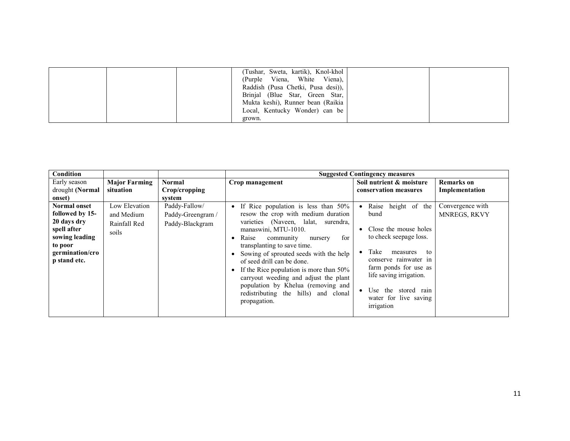|  | (Tushar, Sweta, kartik), Knol-khol<br>(Purple Viena, White Viena),<br>Raddish (Pusa Chetki, Pusa desi)),<br>Brinjal (Blue Star, Green Star,<br>Mukta keshi), Runner bean (Raikia<br>Local, Kentucky Wonder) can be |  |
|--|--------------------------------------------------------------------------------------------------------------------------------------------------------------------------------------------------------------------|--|
|  | grown.                                                                                                                                                                                                             |  |

| <b>Condition</b>          |                      |                                                                                            | <b>Suggested Contingency measures</b>                                 |                                                  |                   |  |
|---------------------------|----------------------|--------------------------------------------------------------------------------------------|-----------------------------------------------------------------------|--------------------------------------------------|-------------------|--|
| Early season              | <b>Major Farming</b> | Normal                                                                                     | Crop management                                                       | Soil nutrient & moisture                         | <b>Remarks</b> on |  |
| drought (Normal           | situation            | Crop/cropping                                                                              |                                                                       | conservation measures                            | Implementation    |  |
| onset)                    |                      | system                                                                                     |                                                                       |                                                  |                   |  |
| Normal onset              | Low Elevation        | Paddy-Fallow/                                                                              | If Rice population is less than 50%<br>$\bullet$                      | height of the<br>Raise                           | Convergence with  |  |
| followed by 15-           | and Medium           | Paddy-Greengram /                                                                          | resow the crop with medium duration                                   | bund                                             | MNREGS, RKVY      |  |
| 20 days dry               | Rainfall Red         | Paddy-Blackgram                                                                            | varieties (Naveen, lalat,<br>surendra,                                |                                                  |                   |  |
| spell after               | soils                |                                                                                            | manaswini, MTU-1010.                                                  | Close the mouse holes                            |                   |  |
| sowing leading<br>to poor |                      |                                                                                            | for<br>Raise<br>community<br>nursery                                  | to check seepage loss.                           |                   |  |
| germination/cro           |                      |                                                                                            | transplanting to save time.<br>Sowing of sprouted seeds with the help | Take<br>measures<br>to                           |                   |  |
| p stand etc.              |                      |                                                                                            | of seed drill can be done.                                            | conserve rainwater in                            |                   |  |
|                           |                      |                                                                                            | If the Rice population is more than 50%                               | farm ponds for use as<br>life saving irrigation. |                   |  |
|                           |                      |                                                                                            | carryout weeding and adjust the plant                                 |                                                  |                   |  |
|                           |                      | population by Khelua (removing and<br>redistributing the hills) and clonal<br>propagation. | Use the stored rain<br>water for live saving<br>irrigation            |                                                  |                   |  |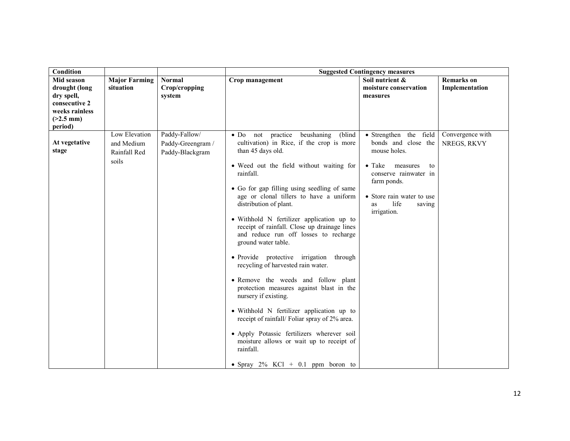| <b>Condition</b>                                                                                       |                                                      |                                                       | <b>Suggested Contingency measures</b>                                                                                                                                                                                                                                                                                                                                                                                                                                                                                                                                                                                                                                                                                                                                                                                                                                                                                    |                                                                                                                                                                                                               |                                     |
|--------------------------------------------------------------------------------------------------------|------------------------------------------------------|-------------------------------------------------------|--------------------------------------------------------------------------------------------------------------------------------------------------------------------------------------------------------------------------------------------------------------------------------------------------------------------------------------------------------------------------------------------------------------------------------------------------------------------------------------------------------------------------------------------------------------------------------------------------------------------------------------------------------------------------------------------------------------------------------------------------------------------------------------------------------------------------------------------------------------------------------------------------------------------------|---------------------------------------------------------------------------------------------------------------------------------------------------------------------------------------------------------------|-------------------------------------|
| Mid season<br>drought (long<br>dry spell,<br>consecutive 2<br>weeks rainless<br>$(>2.5$ mm)<br>period) | <b>Major Farming</b><br>situation                    | <b>Normal</b><br>Crop/cropping<br>system              | Crop management                                                                                                                                                                                                                                                                                                                                                                                                                                                                                                                                                                                                                                                                                                                                                                                                                                                                                                          | Soil nutrient &<br>moisture conservation<br>measures                                                                                                                                                          | <b>Remarks</b> on<br>Implementation |
| At vegetative<br>stage                                                                                 | Low Elevation<br>and Medium<br>Rainfall Red<br>soils | Paddy-Fallow/<br>Paddy-Greengram /<br>Paddy-Blackgram | practice<br>beushaning<br>(blind<br>$\bullet$ D <sub>0</sub><br>not<br>cultivation) in Rice, if the crop is more<br>than 45 days old.<br>• Weed out the field without waiting for<br>rainfall.<br>• Go for gap filling using seedling of same<br>age or clonal tillers to have a uniform<br>distribution of plant.<br>• Withhold N fertilizer application up to<br>receipt of rainfall. Close up drainage lines<br>and reduce run off losses to recharge<br>ground water table.<br>• Provide protective irrigation through<br>recycling of harvested rain water.<br>• Remove the weeds and follow plant<br>protection measures against blast in the<br>nursery if existing.<br>• Withhold N fertilizer application up to<br>receipt of rainfall/ Foliar spray of 2% area.<br>· Apply Potassic fertilizers wherever soil<br>moisture allows or wait up to receipt of<br>rainfall.<br>• Spray $2\%$ KCl + 0.1 ppm boron to | • Strengthen the field<br>bonds and close the<br>mouse holes.<br>$\bullet$ Take<br>measures<br>to<br>conserve rainwater in<br>farm ponds.<br>• Store rain water to use<br>life<br>saving<br>as<br>irrigation. | Convergence with<br>NREGS, RKVY     |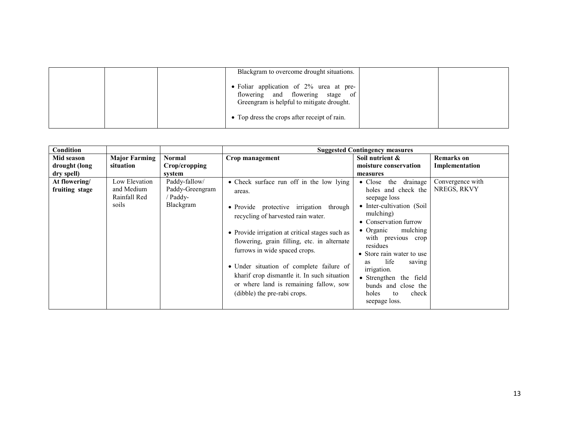|  | Blackgram to overcome drought situations.                                                                                |  |
|--|--------------------------------------------------------------------------------------------------------------------------|--|
|  | • Foliar application of 2% urea at pre-<br>flowering and flowering stage of<br>Greengram is helpful to mitigate drought. |  |
|  | • Top dress the crops after receipt of rain.                                                                             |  |

| Condition                       |                                                      |                                                           |                                                                                                                                                                                                                                                                                                                                                                                                                                             | <b>Suggested Contingency measures</b>                                                                                                                                                                                                                                                                                                                                                |                                 |
|---------------------------------|------------------------------------------------------|-----------------------------------------------------------|---------------------------------------------------------------------------------------------------------------------------------------------------------------------------------------------------------------------------------------------------------------------------------------------------------------------------------------------------------------------------------------------------------------------------------------------|--------------------------------------------------------------------------------------------------------------------------------------------------------------------------------------------------------------------------------------------------------------------------------------------------------------------------------------------------------------------------------------|---------------------------------|
| Mid season                      | <b>Major Farming</b>                                 | Normal                                                    | Crop management                                                                                                                                                                                                                                                                                                                                                                                                                             | Soil nutrient &                                                                                                                                                                                                                                                                                                                                                                      | Remarks on                      |
| drought (long                   | situation                                            | Crop/cropping                                             |                                                                                                                                                                                                                                                                                                                                                                                                                                             | moisture conservation                                                                                                                                                                                                                                                                                                                                                                | Implementation                  |
| dry spell)                      |                                                      | system                                                    |                                                                                                                                                                                                                                                                                                                                                                                                                                             | measures                                                                                                                                                                                                                                                                                                                                                                             |                                 |
| At flowering/<br>fruiting stage | Low Elevation<br>and Medium<br>Rainfall Red<br>soils | Paddy-fallow/<br>Paddy-Greengram<br>/ Paddy-<br>Blackgram | • Check surface run off in the low lying<br>areas.<br>• Provide protective irrigation through<br>recycling of harvested rain water.<br>• Provide irrigation at critical stages such as<br>flowering, grain filling, etc. in alternate<br>furrows in wide spaced crops.<br>• Under situation of complete failure of<br>kharif crop dismantle it. In such situation<br>or where land is remaining fallow, sow<br>(dibble) the pre-rabi crops. | drainage<br>$\bullet$ Close<br>the<br>holes and check the<br>seepage loss<br>• Inter-cultivation (Soil<br>mulching)<br>• Conservation furrow<br>mulching<br>$\bullet$ Organic<br>with previous crop<br>residues<br>• Store rain water to use<br>life<br>saving<br>as<br><i>irrigation.</i><br>• Strengthen the field<br>bunds and close the<br>check<br>holes<br>to<br>seepage loss. | Convergence with<br>NREGS, RKVY |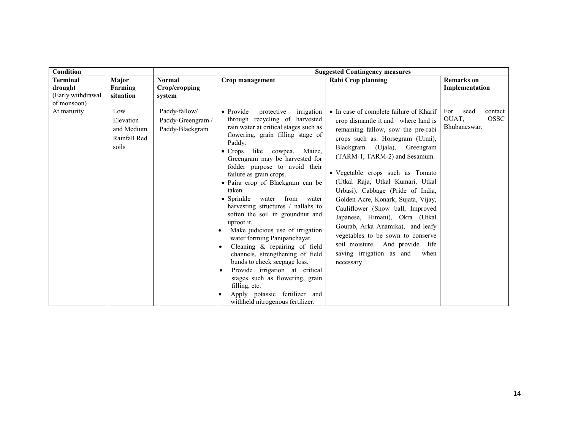| <b>Condition</b>                 |                                                         | <b>Suggested Contingency measures</b>                 |                                                                                                                                                                                                                                                                                                                                                                                                                                                                                                                                                                                                                                                                                                                                                                                                                                      |                                                                                                                                                                                                                                                                                                                                                                                                                                                                                                                                                                                                                  |                                                                |  |
|----------------------------------|---------------------------------------------------------|-------------------------------------------------------|--------------------------------------------------------------------------------------------------------------------------------------------------------------------------------------------------------------------------------------------------------------------------------------------------------------------------------------------------------------------------------------------------------------------------------------------------------------------------------------------------------------------------------------------------------------------------------------------------------------------------------------------------------------------------------------------------------------------------------------------------------------------------------------------------------------------------------------|------------------------------------------------------------------------------------------------------------------------------------------------------------------------------------------------------------------------------------------------------------------------------------------------------------------------------------------------------------------------------------------------------------------------------------------------------------------------------------------------------------------------------------------------------------------------------------------------------------------|----------------------------------------------------------------|--|
| Terminal<br>drought              | <b>Major</b><br>Farming                                 | <b>Normal</b><br>Crop/cropping                        | Crop management                                                                                                                                                                                                                                                                                                                                                                                                                                                                                                                                                                                                                                                                                                                                                                                                                      | <b>Rabi Crop planning</b>                                                                                                                                                                                                                                                                                                                                                                                                                                                                                                                                                                                        | <b>Remarks</b> on<br>Implementation                            |  |
| (Early withdrawal<br>of monsoon) | situation                                               | system                                                |                                                                                                                                                                                                                                                                                                                                                                                                                                                                                                                                                                                                                                                                                                                                                                                                                                      |                                                                                                                                                                                                                                                                                                                                                                                                                                                                                                                                                                                                                  |                                                                |  |
| At maturity                      | Low<br>Elevation<br>and Medium<br>Rainfall Red<br>soils | Paddy-fallow/<br>Paddy-Greengram /<br>Paddy-Blackgram | • Provide<br>irrigation<br>protective<br>through recycling of harvested<br>rain water at critical stages such as<br>flowering, grain filling stage of<br>Paddy.<br>like cowpea,<br>Maize.<br>$\bullet$ Crops<br>Greengram may be harvested for<br>fodder purpose to avoid their<br>failure as grain crops.<br>• Paira crop of Blackgram can be<br>taken.<br>$\bullet$ Sprinkle<br>water<br>from<br>water<br>harvesting structures / nallahs to<br>soften the soil in groundnut and<br>uproot it.<br>Make judicious use of irrigation<br>water forming Panipanchayat.<br>Cleaning & repairing of field<br>channels, strengthening of field<br>bunds to check seepage loss.<br>Provide irrigation at critical<br>stages such as flowering, grain<br>filling, etc.<br>Apply potassic fertilizer and<br>withheld nitrogenous fertilizer. | • In case of complete failure of Kharif<br>crop dismantle it and where land is<br>remaining fallow, sow the pre-rabi<br>crops such as: Horsegram (Urmi),<br>Blackgram (Ujala), Greengram<br>(TARM-1, TARM-2) and Sesamum.<br>• Vegetable crops such as Tomato<br>(Utkal Raja, Utkal Kumari, Utkal<br>Urbasi). Cabbage (Pride of India,<br>Golden Acre, Konark, Sujata, Vijay,<br>Cauliflower (Snow ball, Improved<br>Japanese, Himani), Okra (Utkal<br>Gourab, Arka Anamika), and leafy<br>vegetables to be sown to conserve<br>soil moisture. And provide life<br>saving irrigation as and<br>when<br>necessary | For<br>seed<br>contact<br>OUAT,<br><b>OSSC</b><br>Bhubaneswar. |  |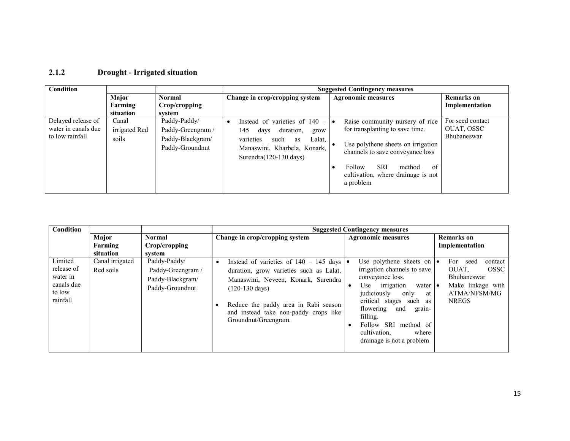### 2.1.2 Drought - Irrigated situation

| Condition                                                    |                                 |                                                                          |                                                                                                                                                                                     | <b>Suggested Contingency measures</b>                                                                                                                                                                                                   |                                               |
|--------------------------------------------------------------|---------------------------------|--------------------------------------------------------------------------|-------------------------------------------------------------------------------------------------------------------------------------------------------------------------------------|-----------------------------------------------------------------------------------------------------------------------------------------------------------------------------------------------------------------------------------------|-----------------------------------------------|
|                                                              | Major                           | <b>Normal</b>                                                            | Change in crop/cropping system                                                                                                                                                      | <b>Agronomic measures</b>                                                                                                                                                                                                               | <b>Remarks</b> on                             |
|                                                              | Farming                         | Crop/cropping                                                            |                                                                                                                                                                                     |                                                                                                                                                                                                                                         | Implementation                                |
|                                                              | situation                       | system                                                                   |                                                                                                                                                                                     |                                                                                                                                                                                                                                         |                                               |
| Delayed release of<br>water in canals due<br>to low rainfall | Canal<br>irrigated Red<br>soils | Paddy-Paddy/<br>Paddy-Greengram /<br>Paddy-Blackgram/<br>Paddy-Groundnut | Instead of varieties of $140 - \cdot$<br>145<br>duration,<br>days<br>grow<br>varieties<br>Lalat,<br>such<br>as<br>Manaswini, Kharbela, Konark,<br>Surendra $(120-130 \text{ days})$ | Raise community nursery of rice<br>for transplanting to save time.<br>Use polythene sheets on irrigation<br>channels to save conveyance loss<br><b>SRI</b><br>Follow<br>of<br>method<br>cultivation, where drainage is not<br>a problem | For seed contact<br>OUAT, OSSC<br>Bhubaneswar |

| <b>Condition</b>                                                      |                               |                                                                          | <b>Suggested Contingency measures</b>                                                                                                                                                                                                                                        |                                                                                                                                                                                                                                                                                                   |                                                                                                                 |  |  |
|-----------------------------------------------------------------------|-------------------------------|--------------------------------------------------------------------------|------------------------------------------------------------------------------------------------------------------------------------------------------------------------------------------------------------------------------------------------------------------------------|---------------------------------------------------------------------------------------------------------------------------------------------------------------------------------------------------------------------------------------------------------------------------------------------------|-----------------------------------------------------------------------------------------------------------------|--|--|
|                                                                       | Major<br>Farming<br>situation | Normal<br>Crop/cropping<br>system                                        | Change in crop/cropping system                                                                                                                                                                                                                                               | <b>Agronomic measures</b>                                                                                                                                                                                                                                                                         | <b>Remarks</b> on<br>Implementation                                                                             |  |  |
| Limited<br>release of<br>water in<br>canals due<br>to low<br>rainfall | Canal irrigated<br>Red soils  | Paddy-Paddy/<br>Paddy-Greengram /<br>Paddy-Blackgram/<br>Paddy-Groundnut | Instead of varieties of $140 - 145$ days<br>duration, grow varieties such as Lalat,<br>Manaswini, Neveen, Konark, Surendra<br>$(120-130 \text{ days})$<br>Reduce the paddy area in Rabi season<br>$\bullet$<br>and instead take non-paddy crops like<br>Groundnut/Greengram. | Use polythene sheets on $\bullet$<br>irrigation channels to save<br>conveyance loss.<br>Use irrigation<br>water •<br>judiciously<br>only<br>at<br>critical stages such as<br>flowering<br>and<br>grain-<br>filling.<br>Follow SRI method of<br>cultivation,<br>where<br>drainage is not a problem | For seed<br>contact<br>OUAT.<br><b>OSSC</b><br>Bhubaneswar<br>Make linkage with<br>ATMA/NFSM/MG<br><b>NREGS</b> |  |  |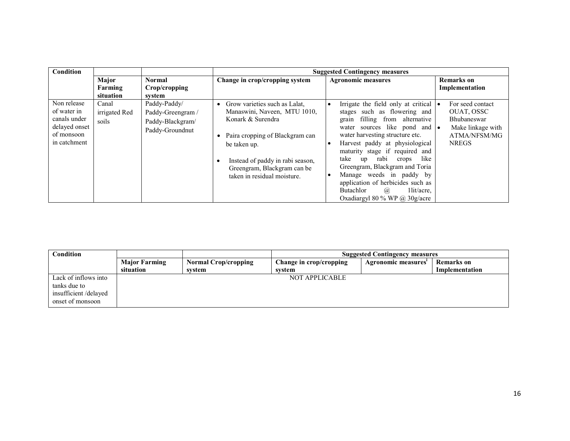| Condition                                                                                 |                                 |                                                                          | <b>Suggested Contingency measures</b>                                                                                                                                                                                                   |                                                                                                                                                                                                                                                                                                                                                                                                                                                                                                  |                                                                                                    |  |
|-------------------------------------------------------------------------------------------|---------------------------------|--------------------------------------------------------------------------|-----------------------------------------------------------------------------------------------------------------------------------------------------------------------------------------------------------------------------------------|--------------------------------------------------------------------------------------------------------------------------------------------------------------------------------------------------------------------------------------------------------------------------------------------------------------------------------------------------------------------------------------------------------------------------------------------------------------------------------------------------|----------------------------------------------------------------------------------------------------|--|
|                                                                                           | Major<br>Farming<br>situation   | <b>Normal</b><br>Crop/cropping<br>system                                 | Change in crop/cropping system                                                                                                                                                                                                          | <b>Agronomic measures</b>                                                                                                                                                                                                                                                                                                                                                                                                                                                                        | <b>Remarks</b> on<br>Implementation                                                                |  |
| Non release<br>of water in<br>canals under<br>delayed onset<br>of monsoon<br>in catchment | Canal<br>irrigated Red<br>soils | Paddy-Paddy/<br>Paddy-Greengram /<br>Paddy-Blackgram/<br>Paddy-Groundnut | Grow varieties such as Lalat,<br>Manaswini, Naveen, MTU 1010,<br>Konark & Surendra<br>Paira cropping of Blackgram can<br>be taken up.<br>Instead of paddy in rabi season,<br>Greengram, Blackgram can be<br>taken in residual moisture. | Irrigate the field only at critical $\bullet$<br>stages such as flowering and<br>filling from alternative<br>grain<br>sources like pond and •<br>water<br>water harvesting structure etc.<br>Harvest paddy at physiological<br>$\bullet$<br>maturity stage if required and<br>like<br>rabi<br>take<br>crops<br>up<br>Greengram, Blackgram and Toria<br>Manage weeds in paddy by<br>application of herbicides such as<br>Butachlor<br>1 lit/acre.<br>$\omega$<br>Oxadiargyl 80 % WP @ $30g/a$ cre | For seed contact<br>OUAT, OSSC<br>Bhubaneswar<br>Make linkage with<br>ATMA/NFSM/MG<br><b>NREGS</b> |  |

| Condition            |                      |                             |                         | <b>Suggested Contingency measures</b> |                   |
|----------------------|----------------------|-----------------------------|-------------------------|---------------------------------------|-------------------|
|                      | <b>Major Farming</b> | <b>Normal Crop/cropping</b> | Change in crop/cropping | Agronomic measures'                   | <b>Remarks</b> on |
|                      | situation            | system                      | svstem                  |                                       | Implementation    |
| Lack of inflows into |                      |                             | NOT APPLICABLE          |                                       |                   |
| tanks due to         |                      |                             |                         |                                       |                   |
| insufficient/delayed |                      |                             |                         |                                       |                   |
| onset of monsoon     |                      |                             |                         |                                       |                   |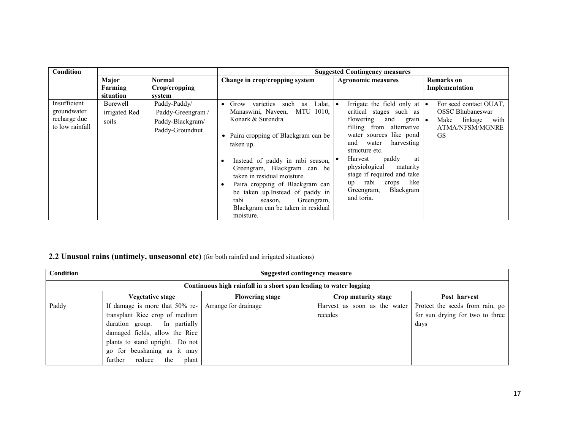| Condition                                                      |                                    |                                                                          |                                                                                                                                                                                                                                                                                                                                                                                                                                                           | <b>Suggested Contingency measures</b>                                                                                                                                                                                                                                                                                                                                           |                                                                                                              |
|----------------------------------------------------------------|------------------------------------|--------------------------------------------------------------------------|-----------------------------------------------------------------------------------------------------------------------------------------------------------------------------------------------------------------------------------------------------------------------------------------------------------------------------------------------------------------------------------------------------------------------------------------------------------|---------------------------------------------------------------------------------------------------------------------------------------------------------------------------------------------------------------------------------------------------------------------------------------------------------------------------------------------------------------------------------|--------------------------------------------------------------------------------------------------------------|
|                                                                | Major<br>Farming<br>situation      | Normal<br>Crop/cropping<br>system                                        | Change in crop/cropping system                                                                                                                                                                                                                                                                                                                                                                                                                            | <b>Agronomic measures</b>                                                                                                                                                                                                                                                                                                                                                       | Remarks on<br>Implementation                                                                                 |
| Insufficient<br>groundwater<br>recharge due<br>to low rainfall | Borewell<br>irrigated Red<br>soils | Paddy-Paddy/<br>Paddy-Greengram /<br>Paddy-Blackgram/<br>Paddy-Groundnut | Lalat.<br>varieties<br>Grow<br>such<br>as<br>٠<br>Manaswini, Naveen,<br>MTU 1010,<br>Konark & Surendra<br>• Paira cropping of Blackgram can be<br>taken up.<br>Instead of paddy in rabi season, $  \bullet \rangle$<br>Greengram, Blackgram can be<br>taken in residual moisture.<br>Paira cropping of Blackgram can<br>$\bullet$<br>be taken up. Instead of paddy in<br>rabi<br>Greengram,<br>season.<br>Blackgram can be taken in residual<br>moisture. | Irrigate the field only at $\bullet$<br>critical stages such as<br>flowering<br>and<br>$grain \mid \bullet$<br>filling from alternative<br>water sources like pond<br>and<br>harvesting<br>water<br>structure etc.<br>paddy<br>Harvest<br>at<br>physiological<br>maturity<br>stage if required and take<br>rabi<br>like<br>crops<br>up<br>Blackgram<br>Greengram,<br>and toria. | For seed contact OUAT,<br><b>OSSC Bhubaneswar</b><br>Make<br>linkage<br>with<br>ATMA/NFSM/MGNRE<br><b>GS</b> |

## 2.2 Unusual rains (untimely, unseasonal etc) (for both rainfed and irrigated situations)

| Condition | Suggested contingency measure                                                                                                                                                                                                             |                        |                                         |                                                                            |  |  |  |  |
|-----------|-------------------------------------------------------------------------------------------------------------------------------------------------------------------------------------------------------------------------------------------|------------------------|-----------------------------------------|----------------------------------------------------------------------------|--|--|--|--|
|           | Continuous high rainfall in a short span leading to water logging                                                                                                                                                                         |                        |                                         |                                                                            |  |  |  |  |
|           | Vegetative stage                                                                                                                                                                                                                          | <b>Flowering stage</b> | Crop maturity stage                     | Post harvest                                                               |  |  |  |  |
| Paddy     | If damage is more that 50% re-<br>transplant Rice crop of medium<br>duration group. In partially<br>damaged fields, allow the Rice<br>plants to stand upright. Do not<br>go for beushaning as it may<br>reduce<br>the<br>further<br>plant | Arrange for drainage   | Harvest as soon as the water<br>recedes | Protect the seeds from rain, go<br>for sun drying for two to three<br>days |  |  |  |  |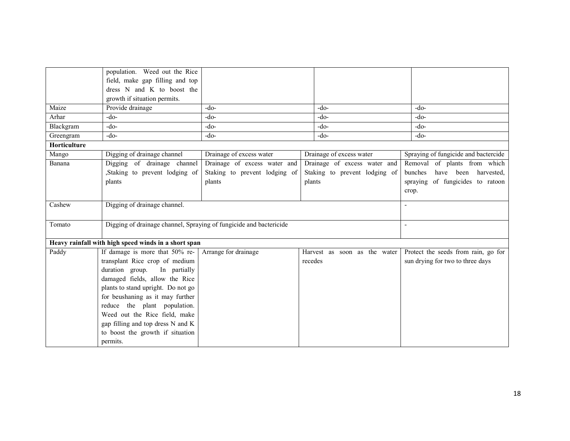|              | population. Weed out the Rice                                      |                               |                               |                                      |
|--------------|--------------------------------------------------------------------|-------------------------------|-------------------------------|--------------------------------------|
|              | field, make gap filling and top                                    |                               |                               |                                      |
|              | dress N and K to boost the                                         |                               |                               |                                      |
|              | growth if situation permits.                                       |                               |                               |                                      |
| Maize        | Provide drainage                                                   | $-do-$                        | $-do-$                        | $-do-$                               |
| Arhar        | $-do-$                                                             | $-do-$                        | $-do-$                        | $-do-$                               |
| Blackgram    | $-do-$                                                             | $-do-$                        | $-do-$                        | $-do-$                               |
| Greengram    | $-do-$                                                             | $-do-$                        | $-do-$                        | $-do-$                               |
| Horticulture |                                                                    |                               |                               |                                      |
| Mango        | Digging of drainage channel                                        | Drainage of excess water      | Drainage of excess water      | Spraying of fungicide and bactercide |
| Banana       | Digging of drainage channel                                        | Drainage of excess water and  | Drainage of excess water and  | Removal of plants from which         |
|              | Staking to prevent lodging of                                      | Staking to prevent lodging of | Staking to prevent lodging of | bunches<br>have been<br>harvested,   |
|              | plants                                                             | plants                        | plants                        | of fungicides to ratoon<br>spraying  |
|              |                                                                    |                               |                               | crop.                                |
| Cashew       | Digging of drainage channel.                                       |                               |                               |                                      |
|              |                                                                    |                               |                               |                                      |
| Tomato       | Digging of drainage channel, Spraying of fungicide and bactericide |                               |                               | $\sim$                               |
|              |                                                                    |                               |                               |                                      |
|              | Heavy rainfall with high speed winds in a short span               |                               |                               |                                      |
| Paddy        | If damage is more that 50% re-                                     | Arrange for drainage          | Harvest as soon as the water  | Protect the seeds from rain, go for  |
|              | transplant Rice crop of medium                                     |                               | recedes                       | sun drying for two to three days     |
|              | duration group.<br>In partially                                    |                               |                               |                                      |
|              | damaged fields, allow the Rice                                     |                               |                               |                                      |
|              | plants to stand upright. Do not go                                 |                               |                               |                                      |
|              | for beushaning as it may further                                   |                               |                               |                                      |
|              | reduce the plant population.                                       |                               |                               |                                      |
|              | Weed out the Rice field, make                                      |                               |                               |                                      |
|              | gap filling and top dress N and K                                  |                               |                               |                                      |
|              | to boost the growth if situation                                   |                               |                               |                                      |
|              | permits.                                                           |                               |                               |                                      |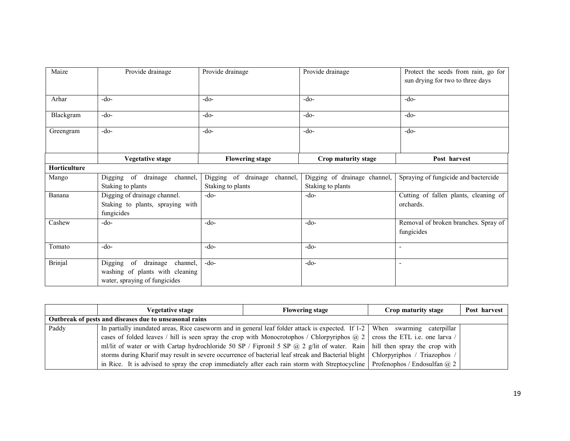| Maize          | Provide drainage                                                                                          | Provide drainage                                  | Provide drainage                                  | Protect the seeds from rain, go for<br>sun drying for two to three days |
|----------------|-----------------------------------------------------------------------------------------------------------|---------------------------------------------------|---------------------------------------------------|-------------------------------------------------------------------------|
| Arhar          | $-do-$                                                                                                    | $-do-$                                            | $-do-$                                            | $-do-$                                                                  |
| Blackgram      | $-do-$                                                                                                    | $-do-$                                            | $-do-$                                            | $-do-$                                                                  |
| Greengram      | $-do-$                                                                                                    | $-do-$                                            | $-do-$                                            | $-do-$                                                                  |
|                | <b>Vegetative stage</b>                                                                                   | <b>Flowering stage</b>                            | Crop maturity stage                               | Post harvest                                                            |
| Horticulture   |                                                                                                           |                                                   |                                                   |                                                                         |
| Mango          | Digging of drainage<br>channel,<br>Staking to plants                                                      | Digging of drainage channel,<br>Staking to plants | Digging of drainage channel,<br>Staking to plants | Spraying of fungicide and bactercide                                    |
| Banana         | Digging of drainage channel.<br>Staking to plants, spraying with<br>fungicides                            | $-do-$                                            | $-do-$                                            | Cutting of fallen plants, cleaning of<br>orchards.                      |
| Cashew         | $-do-$                                                                                                    | $-do-$                                            | $-do-$                                            | Removal of broken branches. Spray of<br>fungicides                      |
| Tomato         | $-do-$                                                                                                    | -do-                                              | $-do-$                                            | $\blacksquare$                                                          |
| <b>Brinjal</b> | of<br>drainage<br>channel,<br>Digging<br>washing of plants with cleaning<br>water, spraying of fungicides | $-do-$                                            | $-do-$                                            |                                                                         |

|       | <b>Vegetative stage</b>                                                                                                           | <b>Flowering stage</b> | Crop maturity stage | Post harvest |
|-------|-----------------------------------------------------------------------------------------------------------------------------------|------------------------|---------------------|--------------|
|       | Outbreak of pests and diseases due to unseasonal rains                                                                            |                        |                     |              |
| Paddy | In partially inundated areas, Rice caseworm and in general leaf folder attack is expected. If $1-2$ When swarming caterpillar     |                        |                     |              |
|       | cases of folded leaves / hill is seen spray the crop with Monocrotophos / Chlorpyriphos $(a, 2)$ cross the ETL i.e. one larva /   |                        |                     |              |
|       | ml/lit of water or with Cartap hydrochloride 50 SP / Fipronil 5 SP @ 2 g/lit of water. Rain   hill then spray the crop with       |                        |                     |              |
|       | storms during Kharif may result in severe occurrence of bacterial leaf streak and Bacterial blight   Chlorpyriphos / Triazophos / |                        |                     |              |
|       | in Rice. It is advised to spray the crop immediately after each rain storm with Streptocycline   Profenophos / Endosulfan $@2$    |                        |                     |              |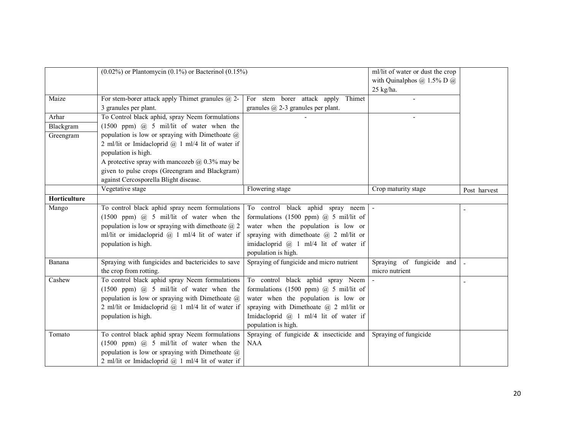|              | $(0.02\%)$ or Plantomycin $(0.1\%)$ or Bacterinol $(0.15\%)$                  |                                                                                    | ml/lit of water or dust the crop<br>with Quinalphos $\omega$ 1.5% D $\omega$ |              |
|--------------|-------------------------------------------------------------------------------|------------------------------------------------------------------------------------|------------------------------------------------------------------------------|--------------|
|              |                                                                               |                                                                                    | $25$ kg/ha.                                                                  |              |
| Maize        | For stem-borer attack apply Thimet granules $(a)$ 2-<br>3 granules per plant. | For stem borer attack apply<br>Thimet<br>granules $\omega$ 2-3 granules per plant. |                                                                              |              |
| Arhar        | To Control black aphid, spray Neem formulations                               |                                                                                    |                                                                              |              |
| Blackgram    | $(1500$ ppm) $@$ 5 mil/lit of water when the                                  |                                                                                    |                                                                              |              |
| Greengram    | population is low or spraying with Dimethoate $\omega$                        |                                                                                    |                                                                              |              |
|              | 2 ml/lit or Imidacloprid $@$ 1 ml/4 lit of water if                           |                                                                                    |                                                                              |              |
|              | population is high.                                                           |                                                                                    |                                                                              |              |
|              | A protective spray with mancozeb $\omega$ 0.3% may be                         |                                                                                    |                                                                              |              |
|              | given to pulse crops (Greengram and Blackgram)                                |                                                                                    |                                                                              |              |
|              | against Cercosporella Blight disease.                                         |                                                                                    |                                                                              |              |
|              | Vegetative stage                                                              | Flowering stage                                                                    | Crop maturity stage                                                          | Post harvest |
| Horticulture |                                                                               |                                                                                    |                                                                              |              |
| Mango        | To control black aphid spray neem formulations                                | To control black aphid spray neem                                                  |                                                                              |              |
|              | $(1500$ ppm) $@$ 5 mil/lit of water when the                                  | formulations (1500 ppm) $@$ 5 mil/lit of                                           |                                                                              |              |
|              | population is low or spraying with dimethoate $(a)$ 2                         | water when the population is low or                                                |                                                                              |              |
|              | ml/lit or imidacloprid $(a)$ 1 ml/4 lit of water if                           | spraying with dimethoate $\omega$ 2 ml/lit or                                      |                                                                              |              |
|              | population is high.                                                           | imidacloprid @ 1 ml/4 lit of water if                                              |                                                                              |              |
|              |                                                                               | population is high.                                                                |                                                                              |              |
| Banana       | Spraying with fungicides and bactericides to save<br>the crop from rotting.   | Spraying of fungicide and micro nutrient                                           | Spraying of fungicide and<br>micro nutrient                                  |              |
| Cashew       | To control black aphid spray Neem formulations                                | To control black aphid spray Neem                                                  |                                                                              |              |
|              | $(1500$ ppm) $@$ 5 mil/lit of water when the                                  | formulations (1500 ppm) $(a)$ 5 mil/lit of                                         |                                                                              |              |
|              | population is low or spraying with Dimethoate $\omega$                        | water when the population is low or                                                |                                                                              |              |
|              | 2 ml/lit or Imidacloprid $(a)$ 1 ml/4 lit of water if                         | spraying with Dimethoate $\omega$ 2 ml/lit or                                      |                                                                              |              |
|              | population is high.                                                           | Imidacloprid @ 1 ml/4 lit of water if                                              |                                                                              |              |
|              |                                                                               | population is high.                                                                |                                                                              |              |
| Tomato       | To control black aphid spray Neem formulations                                | Spraying of fungicide $\&$ insecticide and                                         | Spraying of fungicide                                                        |              |
|              | $(1500$ ppm) $(a)$ 5 mil/lit of water when the                                | <b>NAA</b>                                                                         |                                                                              |              |
|              | population is low or spraying with Dimethoate $(a)$                           |                                                                                    |                                                                              |              |
|              | 2 ml/lit or Imidacloprid $(a)$ 1 ml/4 lit of water if                         |                                                                                    |                                                                              |              |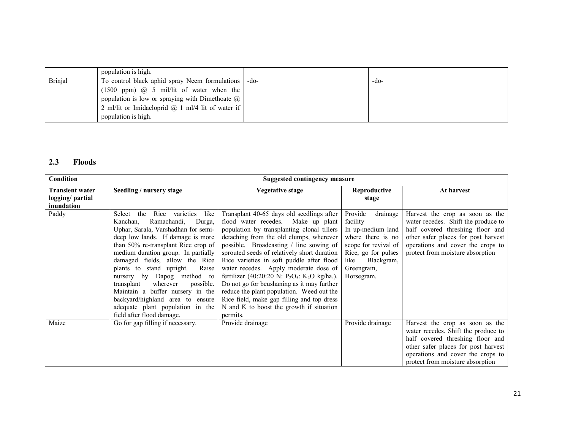|         | population is high.                                      |      |  |
|---------|----------------------------------------------------------|------|--|
| Brinjal | To control black aphid spray Neem formulations<br>-do-   | -do- |  |
|         | $(1500$ ppm) $@$ 5 mil/lit of water when the             |      |  |
|         | population is low or spraying with Dimethoate $\omega$   |      |  |
|         | 2 ml/lit or Imidacloprid $\omega$ 1 ml/4 lit of water if |      |  |
|         | population is high.                                      |      |  |

### 2.3 Floods

| Condition                                                |                                                                                                                                                                                                                                                                                                                                                                                                                                                                                                                                   | <b>Suggested contingency measure</b>                                                                                                                                                                                                                                                                                                                                                                                                                                                                                                                                                                                      |                                                                                                                                                                            |                                                                                                                                                                                                                            |
|----------------------------------------------------------|-----------------------------------------------------------------------------------------------------------------------------------------------------------------------------------------------------------------------------------------------------------------------------------------------------------------------------------------------------------------------------------------------------------------------------------------------------------------------------------------------------------------------------------|---------------------------------------------------------------------------------------------------------------------------------------------------------------------------------------------------------------------------------------------------------------------------------------------------------------------------------------------------------------------------------------------------------------------------------------------------------------------------------------------------------------------------------------------------------------------------------------------------------------------------|----------------------------------------------------------------------------------------------------------------------------------------------------------------------------|----------------------------------------------------------------------------------------------------------------------------------------------------------------------------------------------------------------------------|
| <b>Transient water</b><br>logging/ partial<br>inundation | Seedling / nursery stage                                                                                                                                                                                                                                                                                                                                                                                                                                                                                                          | Vegetative stage                                                                                                                                                                                                                                                                                                                                                                                                                                                                                                                                                                                                          | Reproductive<br>stage                                                                                                                                                      | At harvest                                                                                                                                                                                                                 |
| Paddy                                                    | like<br>Rice<br>varieties<br>Select<br>the<br>Ramachandi,<br>Durga,<br>Kanchan,<br>Uphar, Sarala, Varshadhan for semi-<br>deep low lands. If damage is more<br>than 50% re-transplant Rice crop of<br>medium duration group. In partially<br>damaged fields, allow the Rice<br>plants to stand upright.<br>Raise<br>nursery by<br>Dapog method to<br>possible.<br>wherever<br>transplant<br>Maintain a buffer nursery in the<br>backyard/highland area to ensure<br>adequate plant population in the<br>field after flood damage. | Transplant 40-65 days old seedlings after<br>flood water recedes. Make up plant<br>population by transplanting clonal tillers<br>detaching from the old clumps, wherever<br>possible. Broadcasting / line sowing of<br>sprouted seeds of relatively short duration<br>Rice varieties in soft puddle after flood<br>water recedes. Apply moderate dose of<br>fertilizer (40:20:20 N: $P_2O_5$ : K <sub>2</sub> O kg/ha.).<br>Do not go for beushaning as it may further<br>reduce the plant population. Weed out the<br>Rice field, make gap filling and top dress<br>N and K to boost the growth if situation<br>permits. | drainage<br>Provide<br>facility<br>In up-medium land<br>where there is no<br>scope for revival of<br>Rice, go for pulses<br>Blackgram,<br>like<br>Greengram,<br>Horsegram. | Harvest the crop as soon as the<br>water recedes. Shift the produce to<br>half covered threshing floor and<br>other safer places for post harvest<br>operations and cover the crops to<br>protect from moisture absorption |
| Maize                                                    | Go for gap filling if necessary.                                                                                                                                                                                                                                                                                                                                                                                                                                                                                                  | Provide drainage                                                                                                                                                                                                                                                                                                                                                                                                                                                                                                                                                                                                          | Provide drainage                                                                                                                                                           | Harvest the crop as soon as the<br>water recedes. Shift the produce to<br>half covered threshing floor and<br>other safer places for post harvest<br>operations and cover the crops to<br>protect from moisture absorption |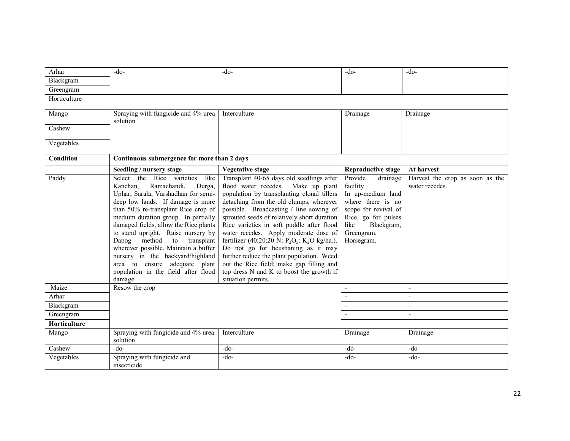| Arhar               | $-do-$                                                                                                                                                                                                                                                                                                                                                                                                                                                                                                                | $-do-$                                                                                                                                                                                                                                                                                                                                                                                                                                                                                                                                                                                                                    | $-do-$                                                                                                                                                                     | $-do-$                                            |
|---------------------|-----------------------------------------------------------------------------------------------------------------------------------------------------------------------------------------------------------------------------------------------------------------------------------------------------------------------------------------------------------------------------------------------------------------------------------------------------------------------------------------------------------------------|---------------------------------------------------------------------------------------------------------------------------------------------------------------------------------------------------------------------------------------------------------------------------------------------------------------------------------------------------------------------------------------------------------------------------------------------------------------------------------------------------------------------------------------------------------------------------------------------------------------------------|----------------------------------------------------------------------------------------------------------------------------------------------------------------------------|---------------------------------------------------|
| Blackgram           |                                                                                                                                                                                                                                                                                                                                                                                                                                                                                                                       |                                                                                                                                                                                                                                                                                                                                                                                                                                                                                                                                                                                                                           |                                                                                                                                                                            |                                                   |
| Greengram           |                                                                                                                                                                                                                                                                                                                                                                                                                                                                                                                       |                                                                                                                                                                                                                                                                                                                                                                                                                                                                                                                                                                                                                           |                                                                                                                                                                            |                                                   |
| Horticulture        |                                                                                                                                                                                                                                                                                                                                                                                                                                                                                                                       |                                                                                                                                                                                                                                                                                                                                                                                                                                                                                                                                                                                                                           |                                                                                                                                                                            |                                                   |
| Mango               | Spraying with fungicide and 4% urea<br>solution                                                                                                                                                                                                                                                                                                                                                                                                                                                                       | Interculture                                                                                                                                                                                                                                                                                                                                                                                                                                                                                                                                                                                                              | Drainage                                                                                                                                                                   | Drainage                                          |
| Cashew              |                                                                                                                                                                                                                                                                                                                                                                                                                                                                                                                       |                                                                                                                                                                                                                                                                                                                                                                                                                                                                                                                                                                                                                           |                                                                                                                                                                            |                                                   |
| Vegetables          |                                                                                                                                                                                                                                                                                                                                                                                                                                                                                                                       |                                                                                                                                                                                                                                                                                                                                                                                                                                                                                                                                                                                                                           |                                                                                                                                                                            |                                                   |
| Condition           | Continuous submergence for more than 2 days                                                                                                                                                                                                                                                                                                                                                                                                                                                                           |                                                                                                                                                                                                                                                                                                                                                                                                                                                                                                                                                                                                                           |                                                                                                                                                                            |                                                   |
|                     | Seedling / nursery stage                                                                                                                                                                                                                                                                                                                                                                                                                                                                                              | <b>Vegetative stage</b>                                                                                                                                                                                                                                                                                                                                                                                                                                                                                                                                                                                                   | <b>Reproductive stage</b>                                                                                                                                                  | At harvest                                        |
| Paddy               | Select the Rice varieties<br>like<br>Ramachandi,<br>Kanchan,<br>Durga,<br>Uphar, Sarala, Varshadhan for semi-<br>deep low lands. If damage is more<br>than 50% re-transplant Rice crop of<br>medium duration group. In partially<br>damaged fields, allow the Rice plants<br>to stand upright. Raise nursery by<br>method<br>to<br>Dapog<br>transplant<br>wherever possible. Maintain a buffer<br>nursery in the backyard/highland<br>area to ensure adequate plant<br>population in the field after flood<br>damage. | Transplant 40-65 days old seedlings after<br>flood water recedes. Make up plant<br>population by transplanting clonal tillers<br>detaching from the old clumps, wherever<br>possible. Broadcasting / line sowing of<br>sprouted seeds of relatively short duration<br>Rice varieties in soft puddle after flood<br>water recedes. Apply moderate dose of<br>fertilizer (40:20:20 N: $P_2O_5$ : K <sub>2</sub> O kg/ha.).<br>Do not go for beushaning as it may<br>further reduce the plant population. Weed<br>out the Rice field; make gap filling and<br>top dress N and K to boost the growth if<br>situation permits. | Provide<br>drainage<br>facility<br>In up-medium land<br>where there is no<br>scope for revival of<br>Rice, go for pulses<br>like<br>Blackgram,<br>Greengram,<br>Horsegram. | Harvest the crop as soon as the<br>water recedes. |
| Maize               | Resow the crop                                                                                                                                                                                                                                                                                                                                                                                                                                                                                                        |                                                                                                                                                                                                                                                                                                                                                                                                                                                                                                                                                                                                                           | $\mathbf{r}$                                                                                                                                                               | $\mathbf{u}$                                      |
| Arhar               |                                                                                                                                                                                                                                                                                                                                                                                                                                                                                                                       |                                                                                                                                                                                                                                                                                                                                                                                                                                                                                                                                                                                                                           | $\overline{\phantom{a}}$                                                                                                                                                   | $\overline{a}$                                    |
| Blackgram           |                                                                                                                                                                                                                                                                                                                                                                                                                                                                                                                       |                                                                                                                                                                                                                                                                                                                                                                                                                                                                                                                                                                                                                           | $\blacksquare$                                                                                                                                                             |                                                   |
| Greengram           |                                                                                                                                                                                                                                                                                                                                                                                                                                                                                                                       |                                                                                                                                                                                                                                                                                                                                                                                                                                                                                                                                                                                                                           | $\blacksquare$                                                                                                                                                             |                                                   |
| <b>Horticulture</b> |                                                                                                                                                                                                                                                                                                                                                                                                                                                                                                                       |                                                                                                                                                                                                                                                                                                                                                                                                                                                                                                                                                                                                                           |                                                                                                                                                                            |                                                   |
| Mango               | Spraying with fungicide and 4% urea<br>solution                                                                                                                                                                                                                                                                                                                                                                                                                                                                       | Interculture                                                                                                                                                                                                                                                                                                                                                                                                                                                                                                                                                                                                              | Drainage                                                                                                                                                                   | Drainage                                          |
| Cashew              | $-do-$                                                                                                                                                                                                                                                                                                                                                                                                                                                                                                                | $-do-$                                                                                                                                                                                                                                                                                                                                                                                                                                                                                                                                                                                                                    | $-do-$                                                                                                                                                                     | $-do-$                                            |
| Vegetables          | Spraying with fungicide and<br>insecticide                                                                                                                                                                                                                                                                                                                                                                                                                                                                            | $-do-$                                                                                                                                                                                                                                                                                                                                                                                                                                                                                                                                                                                                                    | $-do-$                                                                                                                                                                     | -do-                                              |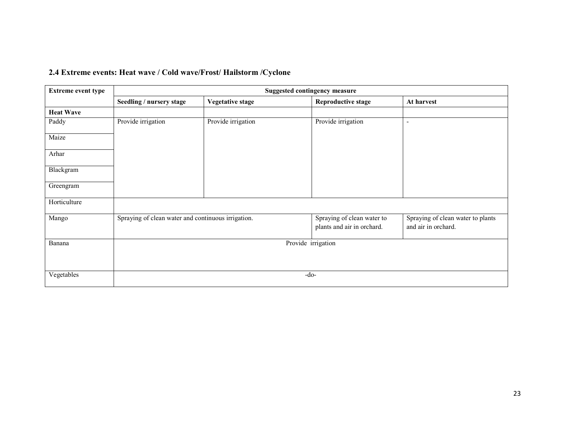|  |  |  |  | 2.4 Extreme events: Heat wave / Cold wave/Frost/ Hailstorm / Cyclone |
|--|--|--|--|----------------------------------------------------------------------|
|--|--|--|--|----------------------------------------------------------------------|

| <b>Extreme event type</b> | <b>Suggested contingency measure</b>               |                         |                                                          |                                                          |
|---------------------------|----------------------------------------------------|-------------------------|----------------------------------------------------------|----------------------------------------------------------|
|                           | Seedling / nursery stage                           | <b>Vegetative stage</b> | <b>Reproductive stage</b>                                | At harvest                                               |
| <b>Heat Wave</b>          |                                                    |                         |                                                          |                                                          |
| Paddy                     | Provide irrigation                                 | Provide irrigation      | Provide irrigation                                       | $\overline{\phantom{a}}$                                 |
| Maize                     |                                                    |                         |                                                          |                                                          |
| Arhar                     |                                                    |                         |                                                          |                                                          |
| Blackgram                 |                                                    |                         |                                                          |                                                          |
| Greengram                 |                                                    |                         |                                                          |                                                          |
| Horticulture              |                                                    |                         |                                                          |                                                          |
| Mango                     | Spraying of clean water and continuous irrigation. |                         | Spraying of clean water to<br>plants and air in orchard. | Spraying of clean water to plants<br>and air in orchard. |
| Banana                    |                                                    |                         | Provide irrigation                                       |                                                          |
| Vegetables                |                                                    |                         | $-do-$                                                   |                                                          |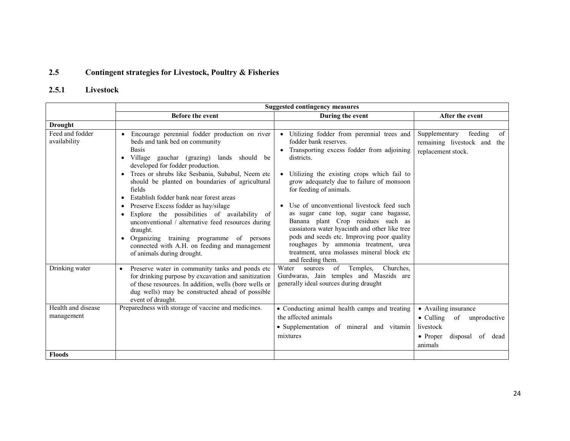#### 2.5Contingent strategies for Livestock, Poultry & Fisheries

## 2.5.1 Livestock

|                                  | <b>Suggested contingency measures</b>                                                                                                                                                                                                                                                                                                                                                                                                                                                                                                                                                                                                                        |                                                                                                                                                                                                                                                                                                                                                                                                                                                                                                                                                                                                |                                                                                                                         |  |
|----------------------------------|--------------------------------------------------------------------------------------------------------------------------------------------------------------------------------------------------------------------------------------------------------------------------------------------------------------------------------------------------------------------------------------------------------------------------------------------------------------------------------------------------------------------------------------------------------------------------------------------------------------------------------------------------------------|------------------------------------------------------------------------------------------------------------------------------------------------------------------------------------------------------------------------------------------------------------------------------------------------------------------------------------------------------------------------------------------------------------------------------------------------------------------------------------------------------------------------------------------------------------------------------------------------|-------------------------------------------------------------------------------------------------------------------------|--|
|                                  | Before the event                                                                                                                                                                                                                                                                                                                                                                                                                                                                                                                                                                                                                                             | During the event                                                                                                                                                                                                                                                                                                                                                                                                                                                                                                                                                                               | After the event                                                                                                         |  |
| <b>Drought</b>                   |                                                                                                                                                                                                                                                                                                                                                                                                                                                                                                                                                                                                                                                              |                                                                                                                                                                                                                                                                                                                                                                                                                                                                                                                                                                                                |                                                                                                                         |  |
| Feed and fodder<br>availability  | Encourage perennial fodder production on river<br>beds and tank bed on community<br><b>Basis</b><br>Village gauchar (grazing) lands should be<br>developed for fodder production.<br>Trees or shrubs like Sesbania, Subabul, Neem etc<br>should be planted on boundaries of agricultural<br>fields<br>Establish fodder bank near forest areas<br>Preserve Excess fodder as hay/silage<br>Explore the possibilities of availability of<br>$\bullet$<br>unconventional / alternative feed resources during<br>draught.<br>Organizing training programme of persons<br>$\bullet$<br>connected with A.H. on feeding and management<br>of animals during drought. | • Utilizing fodder from perennial trees and<br>fodder bank reserves.<br>Transporting excess fodder from adjoining<br>districts.<br>• Utilizing the existing crops which fail to<br>grow adequately due to failure of monsoon<br>for feeding of animals.<br>Use of unconventional livestock feed such<br>as sugar cane top, sugar cane bagasse,<br>Banana plant Crop residues such as<br>cassiatora water hyacinth and other like tree<br>pods and seeds etc. Improving poor quality<br>roughages by ammonia treatment, urea<br>treatment, urea molasses mineral block etc<br>and feeding them. | feeding<br>Supplementary<br>of<br>remaining livestock and the<br>replacement stock.                                     |  |
| Drinking water                   | Preserve water in community tanks and ponds etc<br>$\bullet$<br>for drinking purpose by excavation and sanitization<br>of these resources. In addition, wells (bore wells or<br>dug wells) may be constructed ahead of possible<br>event of draught.                                                                                                                                                                                                                                                                                                                                                                                                         | Temples,<br>Churches.<br>Water<br>of<br>sources<br>Gurdwaras, Jain temples and Maszids are<br>generally ideal sources during draught                                                                                                                                                                                                                                                                                                                                                                                                                                                           |                                                                                                                         |  |
| Health and disease<br>management | Preparedness with storage of vaccine and medicines.                                                                                                                                                                                                                                                                                                                                                                                                                                                                                                                                                                                                          | • Conducting animal health camps and treating<br>the affected animals<br>• Supplementation of mineral and vitamin<br>mixtures                                                                                                                                                                                                                                                                                                                                                                                                                                                                  | • Availing insurance<br>$\bullet$ Culling<br>of<br>unproductive<br>livestock<br>• Proper<br>disposal of dead<br>animals |  |
| <b>Floods</b>                    |                                                                                                                                                                                                                                                                                                                                                                                                                                                                                                                                                                                                                                                              |                                                                                                                                                                                                                                                                                                                                                                                                                                                                                                                                                                                                |                                                                                                                         |  |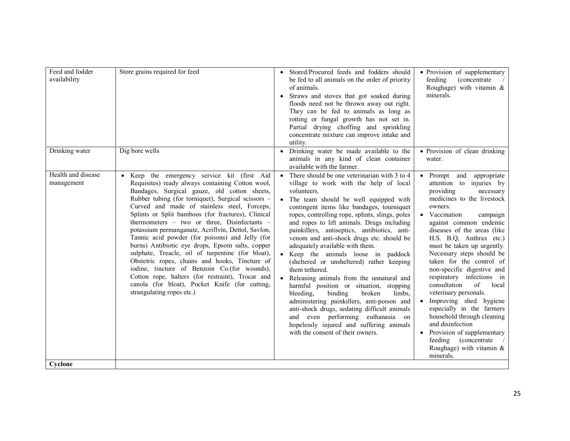| Feed and fodder<br>availability  | Store grains required for feed                                                                                                                                                                                                                                                                                                                                                                                                                                                                                                                                                                                                                                                                                                                                                                                     | • Stored/Procured feeds and fodders should<br>be fed to all animals on the order of priority<br>of animals.<br>• Straws and stoves that got soaked during<br>floods need not be thrown away out right.<br>They can be fed to animals as long as<br>rotting or fungal growth has not set in.<br>Partial drying choffing and sprinkling<br>concentrate mixture can improve intake and<br>utility.                                                                                                                                                                                                                                                                                                                                                                                                                                                                                                             | • Provision of supplementary<br>feeding<br><i>(concentrate)</i><br>Roughage) with vitamin &<br>minerals.                                                                                                                                                                                                                                                                                                                                                                                                                                                                                                                                                              |
|----------------------------------|--------------------------------------------------------------------------------------------------------------------------------------------------------------------------------------------------------------------------------------------------------------------------------------------------------------------------------------------------------------------------------------------------------------------------------------------------------------------------------------------------------------------------------------------------------------------------------------------------------------------------------------------------------------------------------------------------------------------------------------------------------------------------------------------------------------------|-------------------------------------------------------------------------------------------------------------------------------------------------------------------------------------------------------------------------------------------------------------------------------------------------------------------------------------------------------------------------------------------------------------------------------------------------------------------------------------------------------------------------------------------------------------------------------------------------------------------------------------------------------------------------------------------------------------------------------------------------------------------------------------------------------------------------------------------------------------------------------------------------------------|-----------------------------------------------------------------------------------------------------------------------------------------------------------------------------------------------------------------------------------------------------------------------------------------------------------------------------------------------------------------------------------------------------------------------------------------------------------------------------------------------------------------------------------------------------------------------------------------------------------------------------------------------------------------------|
| Drinking water                   | Dig bore wells                                                                                                                                                                                                                                                                                                                                                                                                                                                                                                                                                                                                                                                                                                                                                                                                     | • Drinking water be made available to the<br>animals in any kind of clean container<br>available with the farmer.                                                                                                                                                                                                                                                                                                                                                                                                                                                                                                                                                                                                                                                                                                                                                                                           | • Provision of clean drinking<br>water.                                                                                                                                                                                                                                                                                                                                                                                                                                                                                                                                                                                                                               |
| Health and disease<br>management | · Keep the emergency service kit (first Aid<br>Requisites) ready always containing Cotton wool,<br>Bandages, Surgical gauze, old cotton sheets,<br>Rubber tubing (for torniquet), Surgical scissors -<br>Curved and made of stainless steel, Forceps,<br>Splints or Split bamboos (for fractures), Clinical<br>thermometers - two or three, Disinfectants -<br>potassium permanganate, Acriflvin, Dettol, Savlon,<br>Tannic acid powder (for poisons) and Jelly (for<br>burns) Antibiotic eye drops, Epsom salts, copper<br>sulphate, Treacle, oil of turpentine (for bloat),<br>Obstetric ropes, chains and hooks, Tincture of<br>iodine, tincture of Benzoin Co.(for wounds),<br>Cotton rope, halters (for restraint), Trocar and<br>canola (for bloat), Pocket Knife (for cutting,<br>strangulating ropes etc.) | • There should be one veterinarian with $3 \text{ to } 4$<br>village to work with the help of local<br>volunteers.<br>• The team should be well equipped with<br>contingent items like bandages, tourniquet<br>ropes, controlling rope, splints, slings, poles<br>and ropes to lift animals. Drugs including<br>painkillers, antiseptics, antibiotics, anti-<br>venom and anti-shock drugs etc. should be<br>adequately available with them.<br>• Keep the animals loose in paddock<br>(sheltered or unsheltered) rather keeping<br>them tethered.<br>• Releasing animals from the unnatural and<br>harmful position or situation, stopping<br>broken<br>limbs,<br>bleeding,<br>binding<br>administering painkillers, anti-poison and<br>anti-shock drugs, sedating difficult animals<br>and even performing euthanasia on<br>hopelessly injured and suffering animals<br>with the consent of their owners. | • Prompt and<br>appropriate<br>attention to injuries by<br>providing<br>necessary<br>medicines to the livestock<br>owners.<br>• Vaccination<br>campaign<br>against common endemic<br>diseases of the areas (like<br>H.S. B.Q. Anthrax etc.)<br>must be taken up urgently.<br>Necessary steps should be<br>taken for the control of<br>non-specific digestive and<br>respiratory infections in<br>consultation<br>of<br>local<br>veterinary personals.<br>• Improving shed hygiene<br>especially in the farmers<br>household through cleaning<br>and disinfection<br>• Provision of supplementary<br>feeding (concentrate)<br>Roughage) with vitamin $\&$<br>minerals. |
| Cyclone                          |                                                                                                                                                                                                                                                                                                                                                                                                                                                                                                                                                                                                                                                                                                                                                                                                                    |                                                                                                                                                                                                                                                                                                                                                                                                                                                                                                                                                                                                                                                                                                                                                                                                                                                                                                             |                                                                                                                                                                                                                                                                                                                                                                                                                                                                                                                                                                                                                                                                       |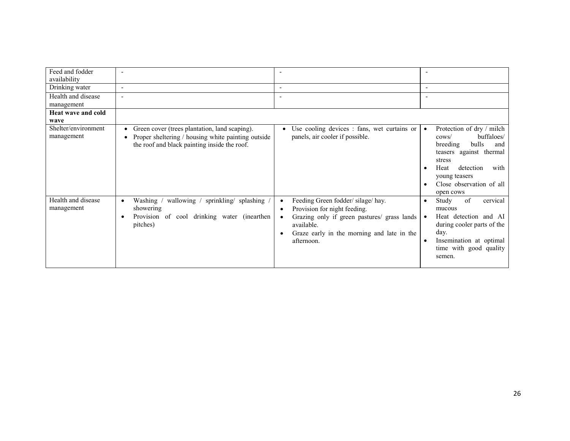| Feed and fodder                   |                                                                                                                                                                  |                                                                                                                                                                                                                  |                                                                                                                                                                                                                                           |
|-----------------------------------|------------------------------------------------------------------------------------------------------------------------------------------------------------------|------------------------------------------------------------------------------------------------------------------------------------------------------------------------------------------------------------------|-------------------------------------------------------------------------------------------------------------------------------------------------------------------------------------------------------------------------------------------|
| availability                      |                                                                                                                                                                  |                                                                                                                                                                                                                  |                                                                                                                                                                                                                                           |
| Drinking water                    | $\overline{\phantom{a}}$                                                                                                                                         | $\overline{\phantom{a}}$                                                                                                                                                                                         |                                                                                                                                                                                                                                           |
| Health and disease                | $\blacksquare$                                                                                                                                                   |                                                                                                                                                                                                                  |                                                                                                                                                                                                                                           |
| management                        |                                                                                                                                                                  |                                                                                                                                                                                                                  |                                                                                                                                                                                                                                           |
| <b>Heat wave and cold</b>         |                                                                                                                                                                  |                                                                                                                                                                                                                  |                                                                                                                                                                                                                                           |
| wave                              |                                                                                                                                                                  |                                                                                                                                                                                                                  |                                                                                                                                                                                                                                           |
| Shelter/environment<br>management | Green cover (trees plantation, land scaping).<br>$\bullet$<br>Proper sheltering / housing white painting outside<br>the roof and black painting inside the roof. | Use cooling devices : fans, wet curtains or<br>panels, air cooler if possible.                                                                                                                                   | Protection of dry / milch<br>$\bullet$<br>buffaloes/<br>$\cos\theta$<br>bulls<br>breeding<br>and<br>teasers against thermal<br>stress<br>detection<br>Heat<br>with<br>$\bullet$<br>young teasers<br>Close observation of all<br>open cows |
| Health and disease<br>management  | wallowing / sprinkling/ splashing /<br>Washing<br>$\bullet$<br>showering<br>Provision of<br>cool drinking water (inearthen<br>pitches)                           | Feeding Green fodder/silage/hay.<br>٠<br>Provision for night feeding.<br>٠<br>Grazing only if green pastures/ grass lands<br>$\bullet$<br>available.<br>Graze early in the morning and late in the<br>afternoon. | of<br>cervical<br>Study<br>$\bullet$<br>mucous<br>Heat detection and AI<br>$\bullet$<br>during cooler parts of the<br>day.<br>Insemination at optimal<br>time with good quality<br>semen.                                                 |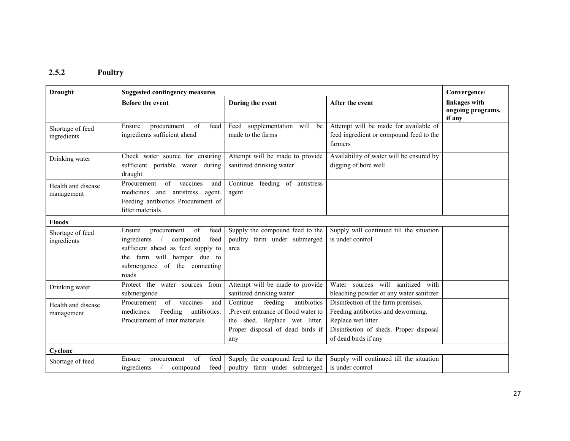#### 2.5.2 Poultry

| <b>Drought</b>                   | <b>Suggested contingency measures</b>                                                                                                                                                 |                                                                                                                                                       |                                                                                                                                                                  | Convergence/                                 |
|----------------------------------|---------------------------------------------------------------------------------------------------------------------------------------------------------------------------------------|-------------------------------------------------------------------------------------------------------------------------------------------------------|------------------------------------------------------------------------------------------------------------------------------------------------------------------|----------------------------------------------|
|                                  | <b>Before the event</b>                                                                                                                                                               | During the event                                                                                                                                      | After the event                                                                                                                                                  | linkages with<br>ongoing programs,<br>if any |
| Shortage of feed<br>ingredients  | procurement<br>of<br>feed<br>Ensure<br>ingredients sufficient ahead                                                                                                                   | supplementation will be<br>Feed<br>made to the farms                                                                                                  | Attempt will be made for available of<br>feed ingredient or compound feed to the<br>farmers                                                                      |                                              |
| Drinking water                   | Check water source for ensuring<br>sufficient portable water during<br>draught                                                                                                        | Attempt will be made to provide<br>sanitized drinking water                                                                                           | Availability of water will be ensured by<br>digging of bore well                                                                                                 |                                              |
| Health and disease<br>management | of vaccines<br>Procurement<br>and<br>medicines and antistress agent.<br>Feeding antibiotics Procurement of<br>litter materials                                                        | Continue feeding of antistress<br>agent                                                                                                               |                                                                                                                                                                  |                                              |
| <b>Floods</b>                    |                                                                                                                                                                                       |                                                                                                                                                       |                                                                                                                                                                  |                                              |
| Shortage of feed<br>ingredients  | of<br>feed<br>Ensure<br>procurement<br>ingredients<br>feed<br>compound<br>sufficient ahead as feed supply to<br>the farm will hamper due to<br>submergence of the connecting<br>roads | Supply the compound feed to the<br>poultry farm under submerged<br>area                                                                               | Supply will continued till the situation<br>is under control                                                                                                     |                                              |
| Drinking water                   | Protect the water sources from<br>submergence                                                                                                                                         | Attempt will be made to provide<br>sanitized drinking water                                                                                           | Water sources will sanitized with<br>bleaching powder or any water sanitizer                                                                                     |                                              |
| Health and disease<br>management | Procurement<br>$\sigma$<br>vaccines<br>and<br>antibiotics.<br>medicines.<br>Feeding<br>Procurement of litter materials                                                                | antibiotics<br>Continue<br>feeding<br>.Prevent entrance of flood water to<br>the shed. Replace wet litter.<br>Proper disposal of dead birds if<br>any | Disinfection of the farm premises.<br>Feeding antibiotics and deworming.<br>Replace wet litter<br>Disinfection of sheds. Proper disposal<br>of dead birds if any |                                              |
| Cyclone                          |                                                                                                                                                                                       |                                                                                                                                                       |                                                                                                                                                                  |                                              |
| Shortage of feed                 | of<br>feed<br>Ensure<br>procurement<br>ingredients<br>feed<br>compound                                                                                                                | Supply the compound feed to the<br>poultry farm under submerged                                                                                       | Supply will continued till the situation<br>is under control                                                                                                     |                                              |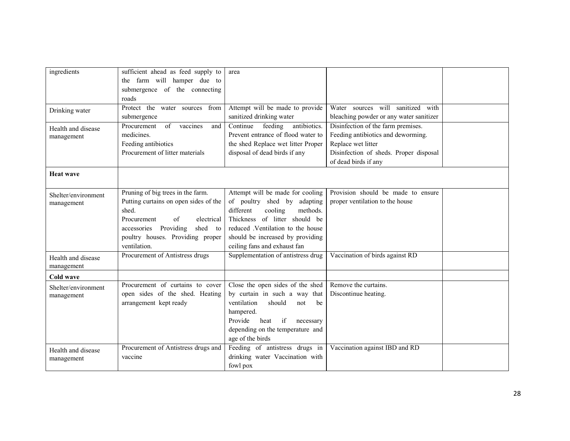| ingredients                      | sufficient ahead as feed supply to<br>the farm will hamper due to | area                                                    |                                         |  |
|----------------------------------|-------------------------------------------------------------------|---------------------------------------------------------|-----------------------------------------|--|
|                                  | submergence of the connecting                                     |                                                         |                                         |  |
|                                  | roads<br>Protect the<br>water sources<br>from                     | Attempt will be made to provide                         | Water sources will<br>sanitized<br>with |  |
| Drinking water                   | submergence                                                       | sanitized drinking water                                | bleaching powder or any water sanitizer |  |
| Health and disease               | Procurement<br>of<br>vaccines<br>and                              | antibiotics.<br>$\overline{\text{Continue}}$<br>feeding | Disinfection of the farm premises.      |  |
| management                       | medicines.                                                        | Prevent entrance of flood water to                      | Feeding antibiotics and deworming.      |  |
|                                  | Feeding antibiotics                                               | the shed Replace wet litter Proper                      | Replace wet litter                      |  |
|                                  | Procurement of litter materials                                   | disposal of dead birds if any                           | Disinfection of sheds. Proper disposal  |  |
|                                  |                                                                   |                                                         | of dead birds if any                    |  |
| <b>Heat wave</b>                 |                                                                   |                                                         |                                         |  |
| Shelter/environment              | Pruning of big trees in the farm.                                 | Attempt will be made for cooling                        | Provision should be made to ensure      |  |
| management                       | Putting curtains on open sides of the                             | of poultry shed by adapting                             | proper ventilation to the house         |  |
|                                  | shed.                                                             | different<br>cooling<br>methods.                        |                                         |  |
|                                  | Procurement<br>of<br>electrical                                   | Thickness of litter should be                           |                                         |  |
|                                  | accessories Providing<br>shed to                                  | reduced .Ventilation to the house                       |                                         |  |
|                                  | poultry houses. Providing proper                                  | should be increased by providing                        |                                         |  |
|                                  | ventilation.                                                      | ceiling fans and exhaust fan                            |                                         |  |
| Health and disease<br>management | Procurement of Antistress drugs                                   | Supplementation of antistress drug                      | Vaccination of birds against RD         |  |
| Cold wave                        |                                                                   |                                                         |                                         |  |
| Shelter/environment              | Procurement of curtains to cover                                  | Close the open sides of the shed                        | Remove the curtains.                    |  |
| management                       | open sides of the shed. Heating                                   | by curtain in such a way that                           | Discontinue heating.                    |  |
|                                  | arrangement kept ready                                            | ventilation<br>should<br>be<br>not                      |                                         |  |
|                                  |                                                                   | hampered.                                               |                                         |  |
|                                  |                                                                   | if<br>Provide<br>heat<br>necessary                      |                                         |  |
|                                  |                                                                   | depending on the temperature and                        |                                         |  |
|                                  |                                                                   | age of the birds                                        |                                         |  |
| Health and disease               | Procurement of Antistress drugs and                               | Feeding of antistress drugs in                          | Vaccination against IBD and RD          |  |
| management                       | vaccine                                                           | drinking water Vaccination with                         |                                         |  |
|                                  |                                                                   | fowl pox                                                |                                         |  |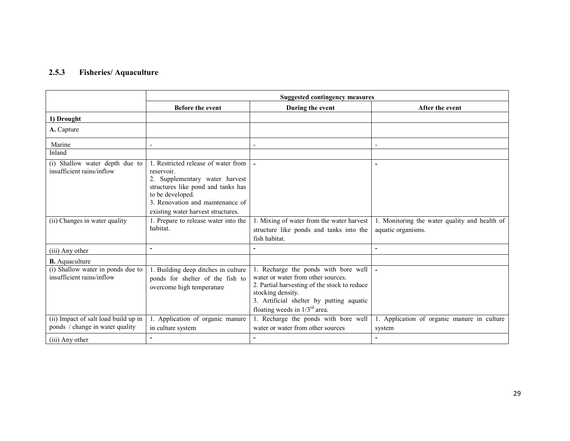#### 2.5.3Fisheries/ Aquaculture

|                                                                         | <b>Suggested contingency measures</b>                                                                                                                                                                                   |                                                                                                                                                                                                                                   |                                                                     |
|-------------------------------------------------------------------------|-------------------------------------------------------------------------------------------------------------------------------------------------------------------------------------------------------------------------|-----------------------------------------------------------------------------------------------------------------------------------------------------------------------------------------------------------------------------------|---------------------------------------------------------------------|
|                                                                         | <b>Before the event</b>                                                                                                                                                                                                 | During the event                                                                                                                                                                                                                  | After the event                                                     |
| 1) Drought                                                              |                                                                                                                                                                                                                         |                                                                                                                                                                                                                                   |                                                                     |
| A. Capture                                                              |                                                                                                                                                                                                                         |                                                                                                                                                                                                                                   |                                                                     |
| Marine                                                                  | $\overline{\phantom{a}}$                                                                                                                                                                                                |                                                                                                                                                                                                                                   | $\blacksquare$                                                      |
| Inland                                                                  |                                                                                                                                                                                                                         |                                                                                                                                                                                                                                   |                                                                     |
| (i) Shallow water depth due to<br>insufficient rains/inflow             | 1. Restricted release of water from<br>reservoir.<br>2. Supplementary water harvest<br>structures like pond and tanks has<br>to be developed.<br>3. Renovation and maintenance of<br>existing water harvest structures. |                                                                                                                                                                                                                                   |                                                                     |
| (ii) Changes in water quality                                           | 1. Prepare to release water into the<br>habitat.                                                                                                                                                                        | 1. Mixing of water from the water harvest<br>structure like ponds and tanks into the<br>fish habitat.                                                                                                                             | 1. Monitoring the water quality and health of<br>aquatic organisms. |
| (iii) Any other                                                         | L,                                                                                                                                                                                                                      |                                                                                                                                                                                                                                   | ٠                                                                   |
| <b>B.</b> Aquaculture                                                   |                                                                                                                                                                                                                         |                                                                                                                                                                                                                                   |                                                                     |
| (i) Shallow water in ponds due to<br>insufficient rains/inflow          | 1. Building deep ditches in culture<br>ponds for shelter of the fish to<br>overcome high temperature                                                                                                                    | 1. Recharge the ponds with bore well<br>water or water from other sources.<br>2. Partial harvesting of the stock to reduce<br>stocking density.<br>3. Artificial shelter by putting aquatic<br>floating weeds in $1/3^{rd}$ area. |                                                                     |
| (ii) Impact of salt load build up in<br>ponds / change in water quality | 1. Application of organic manure<br>in culture system                                                                                                                                                                   | 1. Recharge the ponds with bore well<br>water or water from other sources                                                                                                                                                         | 1. Application of organic manure in culture<br>system               |
| (iii) Any other                                                         |                                                                                                                                                                                                                         |                                                                                                                                                                                                                                   |                                                                     |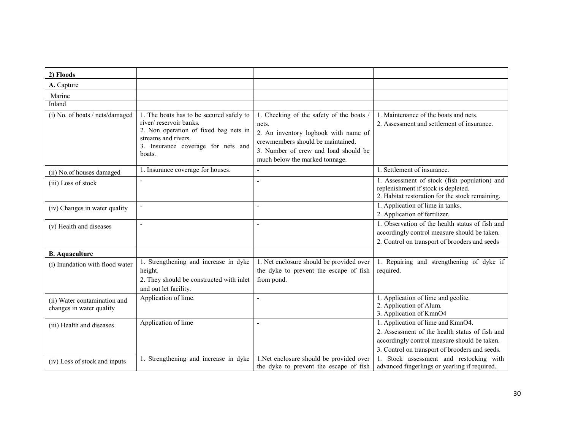| 2) Floods                                                |                                                                                                                                                                                    |                                                                                                                                                                                                          |                                                                                                                                                                                       |
|----------------------------------------------------------|------------------------------------------------------------------------------------------------------------------------------------------------------------------------------------|----------------------------------------------------------------------------------------------------------------------------------------------------------------------------------------------------------|---------------------------------------------------------------------------------------------------------------------------------------------------------------------------------------|
| A. Capture                                               |                                                                                                                                                                                    |                                                                                                                                                                                                          |                                                                                                                                                                                       |
| Marine                                                   |                                                                                                                                                                                    |                                                                                                                                                                                                          |                                                                                                                                                                                       |
| Inland                                                   |                                                                                                                                                                                    |                                                                                                                                                                                                          |                                                                                                                                                                                       |
| (i) No. of boats / nets/damaged                          | 1. The boats has to be secured safely to<br>river/reservoir banks.<br>2. Non operation of fixed bag nets in<br>streams and rivers.<br>3. Insurance coverage for nets and<br>boats. | 1. Checking of the safety of the boats /<br>nets.<br>2. An inventory logbook with name of<br>crewmembers should be maintained.<br>3. Number of crew and load should be<br>much below the marked tonnage. | 1. Maintenance of the boats and nets.<br>2. Assessment and settlement of insurance.                                                                                                   |
| (ii) No.of houses damaged                                | 1. Insurance coverage for houses.                                                                                                                                                  | L,                                                                                                                                                                                                       | 1. Settlement of insurance.                                                                                                                                                           |
| (iii) Loss of stock                                      | $\blacksquare$                                                                                                                                                                     | $\blacksquare$                                                                                                                                                                                           | 1. Assessment of stock (fish population) and<br>replenishment if stock is depleted.<br>2. Habitat restoration for the stock remaining.                                                |
| (iv) Changes in water quality                            | $\overline{\phantom{a}}$                                                                                                                                                           | $\overline{a}$                                                                                                                                                                                           | 1. Application of lime in tanks.<br>2. Application of fertilizer.                                                                                                                     |
| (v) Health and diseases                                  | $\blacksquare$                                                                                                                                                                     | $\overline{\phantom{a}}$                                                                                                                                                                                 | 1. Observation of the health status of fish and<br>accordingly control measure should be taken.<br>2. Control on transport of brooders and seeds                                      |
| <b>B.</b> Aquaculture                                    |                                                                                                                                                                                    |                                                                                                                                                                                                          |                                                                                                                                                                                       |
| (i) Inundation with flood water                          | 1. Strengthening and increase in dyke<br>height.<br>2. They should be constructed with inlet<br>and out let facility.                                                              | 1. Net enclosure should be provided over<br>the dyke to prevent the escape of fish<br>from pond.                                                                                                         | 1. Repairing and strengthening of dyke if<br>required.                                                                                                                                |
| (ii) Water contamination and<br>changes in water quality | Application of lime.                                                                                                                                                               | $\blacksquare$                                                                                                                                                                                           | 1. Application of lime and geolite.<br>2. Application of Alum.<br>3. Application of KmnO4                                                                                             |
| (iii) Health and diseases                                | Application of lime                                                                                                                                                                |                                                                                                                                                                                                          | 1. Application of lime and KmnO4.<br>2. Assessment of the health status of fish and<br>accordingly control measure should be taken.<br>3. Control on transport of brooders and seeds. |
| (iv) Loss of stock and inputs                            | 1. Strengthening and increase in dyke                                                                                                                                              | 1.Net enclosure should be provided over<br>the dyke to prevent the escape of fish                                                                                                                        | Stock assessment and restocking with<br>advanced fingerlings or yearling if required.                                                                                                 |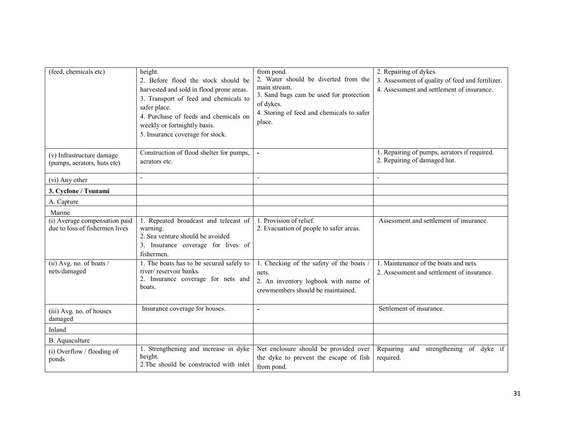| (feed, chemicals etc)                                           | height.<br>2. Before flood the stock should be<br>harvested and sold in flood prone areas.<br>3. Transport of feed and chemicals to<br>safer place.<br>4. Purchase of feeds and chemicals on<br>weekly or fortnightly basis.<br>5. Insurance coverage for stock. | from pond.<br>2. Water should be diverted from the<br>main stream.<br>3. Sand bags cam be used for protection<br>of dykes.<br>4. Storing of feed and chemicals to safer<br>place. | 2. Repairing of dykes.<br>3. Assessment of quality of feed and fertilizer.<br>4. Assessment and settlement of insurance. |
|-----------------------------------------------------------------|------------------------------------------------------------------------------------------------------------------------------------------------------------------------------------------------------------------------------------------------------------------|-----------------------------------------------------------------------------------------------------------------------------------------------------------------------------------|--------------------------------------------------------------------------------------------------------------------------|
| (v) Infrastructure damage<br>(pumps, aerators, huts etc)        | Construction of flood shelter for pumps,<br>aerators etc.                                                                                                                                                                                                        |                                                                                                                                                                                   | 1. Repairing of pumps, aerators if required.<br>2. Repairing of damaged hut.                                             |
| (vi) Any other                                                  | $\blacksquare$                                                                                                                                                                                                                                                   |                                                                                                                                                                                   |                                                                                                                          |
| 3. Cyclone / Tsunami                                            |                                                                                                                                                                                                                                                                  |                                                                                                                                                                                   |                                                                                                                          |
| A. Capture                                                      |                                                                                                                                                                                                                                                                  |                                                                                                                                                                                   |                                                                                                                          |
| Marine                                                          |                                                                                                                                                                                                                                                                  |                                                                                                                                                                                   |                                                                                                                          |
| (i) Average compensation paid<br>due to loss of fishermen lives | 1. Repeated broadcast and telecast of<br>warning.<br>2. Sea venture should be avoided<br>3. Insurance coverage for lives of<br>fishermen.                                                                                                                        | 1. Provision of relief.<br>2. Evacuation of people to safer areas.                                                                                                                | Assessment and settlement of insurance.                                                                                  |
| (ii) Avg. no. of boats $/$<br>nets/damaged                      | 1. The boats has to be secured safely to<br>river/reservoir banks.<br>2. Insurance coverage for nets and<br>boats.                                                                                                                                               | 1. Checking of the safety of the boats /<br>nets.<br>2. An inventory logbook with name of<br>crewmembers should be maintained.                                                    | 1. Maintenance of the boats and nets.<br>2. Assessment and settlement of insurance.                                      |
| (iii) Avg. no. of houses<br>damaged                             | Insurance coverage for houses.                                                                                                                                                                                                                                   | L,                                                                                                                                                                                | Settlement of insurance.                                                                                                 |
| Inland                                                          |                                                                                                                                                                                                                                                                  |                                                                                                                                                                                   |                                                                                                                          |
| B. Aquaculture                                                  |                                                                                                                                                                                                                                                                  |                                                                                                                                                                                   |                                                                                                                          |
| (i) Overflow / flooding of<br>ponds                             | 1. Strengthening and increase in dyke<br>height.<br>2. The should be constructed with inlet                                                                                                                                                                      | Net enclosure should be provided over<br>the dyke to prevent the escape of fish<br>from pond.                                                                                     | and strengthening of dyke if<br>Repairing<br>required.                                                                   |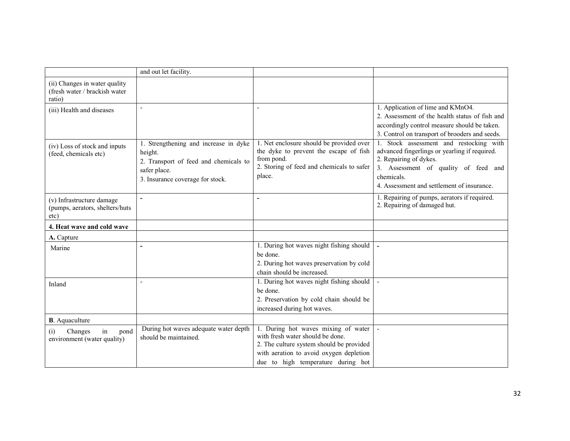|                                                                          | and out let facility.                                                                                                                         |                                                                                                                                                                                                      |                                                                                                                                                                                                                        |
|--------------------------------------------------------------------------|-----------------------------------------------------------------------------------------------------------------------------------------------|------------------------------------------------------------------------------------------------------------------------------------------------------------------------------------------------------|------------------------------------------------------------------------------------------------------------------------------------------------------------------------------------------------------------------------|
| (ii) Changes in water quality<br>(fresh water / brackish water<br>ratio) |                                                                                                                                               |                                                                                                                                                                                                      |                                                                                                                                                                                                                        |
| (iii) Health and diseases                                                | $\blacksquare$                                                                                                                                |                                                                                                                                                                                                      | 1. Application of lime and KMnO4.<br>2. Assessment of the health status of fish and<br>accordingly control measure should be taken.<br>3. Control on transport of brooders and seeds.                                  |
| (iv) Loss of stock and inputs<br>(feed, chemicals etc)                   | 1. Strengthening and increase in dyke<br>height.<br>2. Transport of feed and chemicals to<br>safer place.<br>3. Insurance coverage for stock. | 1. Net enclosure should be provided over<br>the dyke to prevent the escape of fish<br>from pond.<br>2. Storing of feed and chemicals to safer<br>place.                                              | 1. Stock assessment and restocking with<br>advanced fingerlings or yearling if required.<br>2. Repairing of dykes.<br>3. Assessment of quality of feed and<br>chemicals.<br>4. Assessment and settlement of insurance. |
| (v) Infrastructure damage<br>(pumps, aerators, shelters/huts<br>etc)     |                                                                                                                                               |                                                                                                                                                                                                      | 1. Repairing of pumps, aerators if required.<br>2. Repairing of damaged hut.                                                                                                                                           |
| 4. Heat wave and cold wave                                               |                                                                                                                                               |                                                                                                                                                                                                      |                                                                                                                                                                                                                        |
| A. Capture                                                               |                                                                                                                                               |                                                                                                                                                                                                      |                                                                                                                                                                                                                        |
| Marine                                                                   |                                                                                                                                               | 1. During hot waves night fishing should<br>be done.<br>2. During hot waves preservation by cold<br>chain should be increased.                                                                       |                                                                                                                                                                                                                        |
| Inland                                                                   |                                                                                                                                               | 1. During hot waves night fishing should<br>be done.<br>2. Preservation by cold chain should be<br>increased during hot waves.                                                                       |                                                                                                                                                                                                                        |
| <b>B</b> . Aquaculture                                                   |                                                                                                                                               |                                                                                                                                                                                                      |                                                                                                                                                                                                                        |
| Changes<br>pond<br>(i)<br>in<br>environment (water quality)              | During hot waves adequate water depth<br>should be maintained.                                                                                | 1. During hot waves mixing of water<br>with fresh water should be done.<br>2. The culture system should be provided<br>with aeration to avoid oxygen depletion<br>due to high temperature during hot |                                                                                                                                                                                                                        |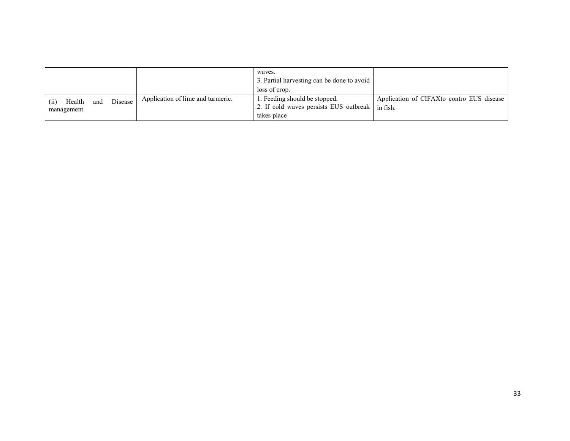|                                                |                                   | waves.<br>3. Partial harvesting can be done to avoid<br>loss of crop.                  |                                                       |
|------------------------------------------------|-----------------------------------|----------------------------------------------------------------------------------------|-------------------------------------------------------|
| Disease<br>Health<br>and<br>(ii)<br>management | Application of lime and turmeric. | 1. Feeding should be stopped.<br>2. If cold waves persists EUS outbreak<br>takes place | Application of CIFAXto contro EUS disease<br>in fish. |